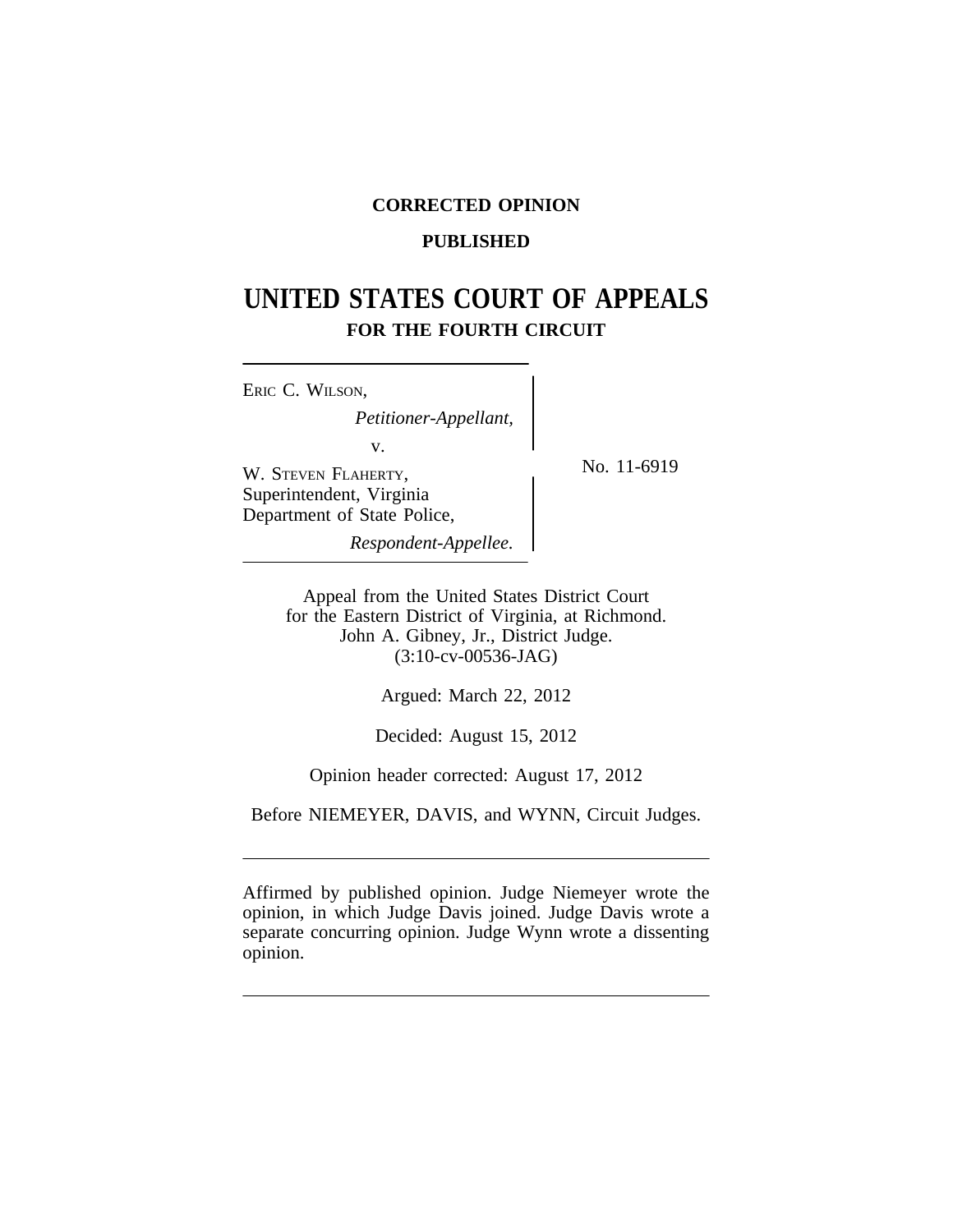# **CORRECTED OPINION**

## **PUBLISHED**

# **UNITED STATES COURT OF APPEALS FOR THE FOURTH CIRCUIT**

| ERIC C. WILSON,                                         |  |
|---------------------------------------------------------|--|
| Petitioner-Appellant,                                   |  |
| V.                                                      |  |
| W. STEVEN FLAHERTY,                                     |  |
| Superintendent, Virginia<br>Department of State Police, |  |
| Respondent-Appellee.                                    |  |

No. 11-6919

Appeal from the United States District Court for the Eastern District of Virginia, at Richmond. John A. Gibney, Jr., District Judge. (3:10-cv-00536-JAG)

Argued: March 22, 2012

Decided: August 15, 2012

Opinion header corrected: August 17, 2012

Before NIEMEYER, DAVIS, and WYNN, Circuit Judges.

Affirmed by published opinion. Judge Niemeyer wrote the opinion, in which Judge Davis joined. Judge Davis wrote a separate concurring opinion. Judge Wynn wrote a dissenting opinion.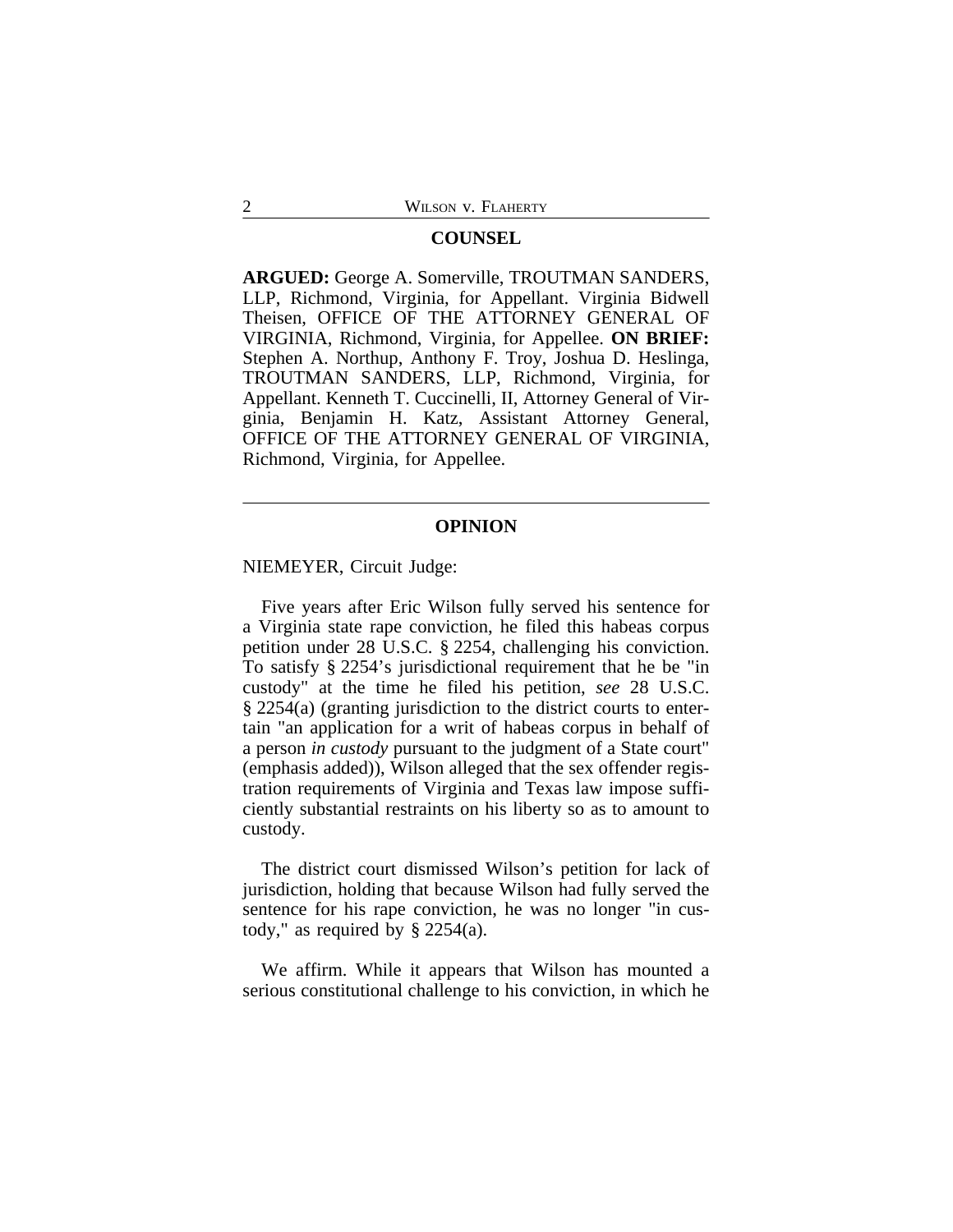### **COUNSEL**

**ARGUED:** George A. Somerville, TROUTMAN SANDERS, LLP, Richmond, Virginia, for Appellant. Virginia Bidwell Theisen, OFFICE OF THE ATTORNEY GENERAL OF VIRGINIA, Richmond, Virginia, for Appellee. **ON BRIEF:** Stephen A. Northup, Anthony F. Troy, Joshua D. Heslinga, TROUTMAN SANDERS, LLP, Richmond, Virginia, for Appellant. Kenneth T. Cuccinelli, II, Attorney General of Virginia, Benjamin H. Katz, Assistant Attorney General, OFFICE OF THE ATTORNEY GENERAL OF VIRGINIA, Richmond, Virginia, for Appellee.

## **OPINION**

NIEMEYER, Circuit Judge:

Five years after Eric Wilson fully served his sentence for a Virginia state rape conviction, he filed this habeas corpus petition under 28 U.S.C. § 2254, challenging his conviction. To satisfy § 2254's jurisdictional requirement that he be "in custody" at the time he filed his petition, *see* 28 U.S.C. § 2254(a) (granting jurisdiction to the district courts to entertain "an application for a writ of habeas corpus in behalf of a person *in custody* pursuant to the judgment of a State court" (emphasis added)), Wilson alleged that the sex offender registration requirements of Virginia and Texas law impose sufficiently substantial restraints on his liberty so as to amount to custody.

The district court dismissed Wilson's petition for lack of jurisdiction, holding that because Wilson had fully served the sentence for his rape conviction, he was no longer "in custody," as required by  $\S$  2254(a).

We affirm. While it appears that Wilson has mounted a serious constitutional challenge to his conviction, in which he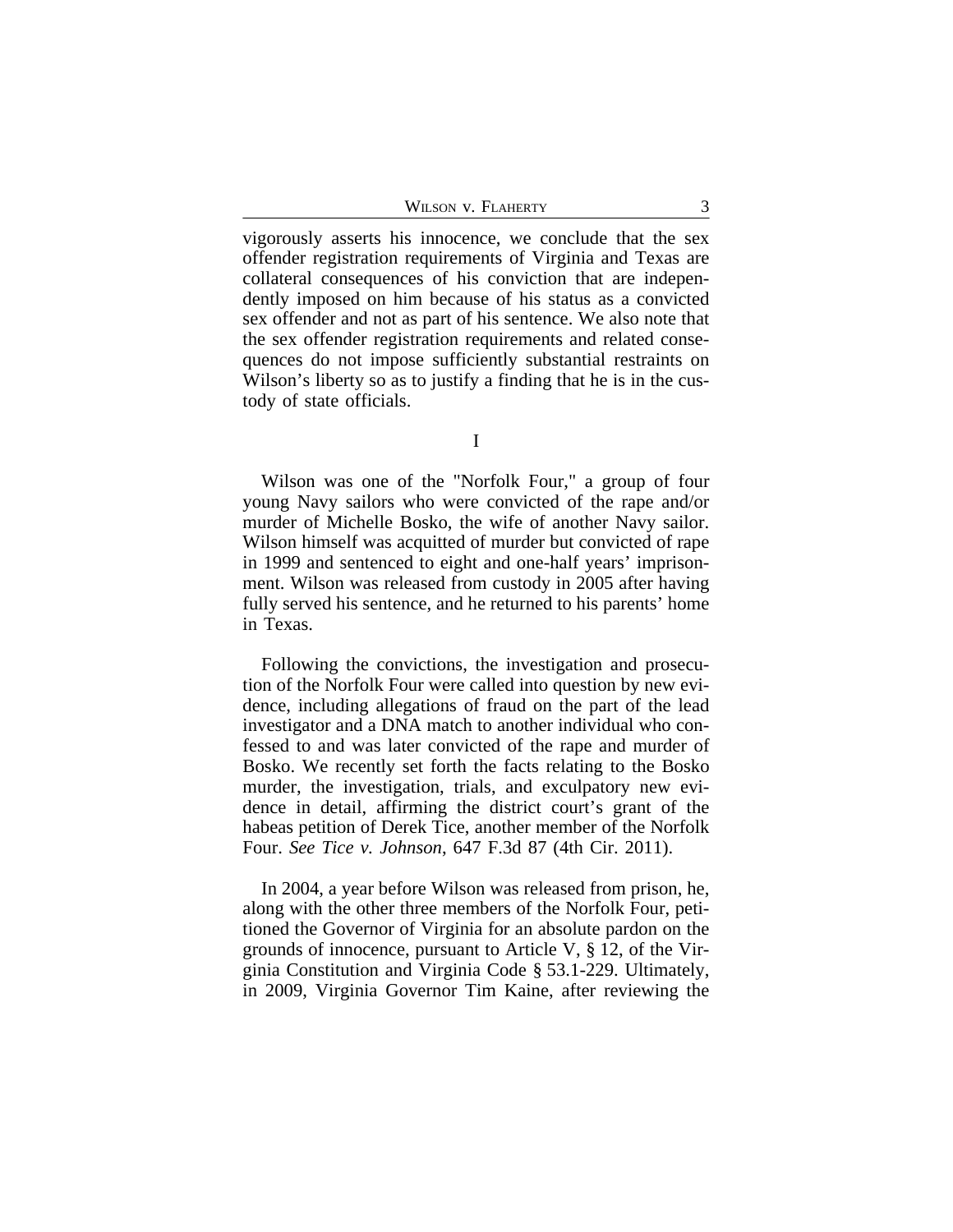WILSON V. FLAHERTY 3

vigorously asserts his innocence, we conclude that the sex offender registration requirements of Virginia and Texas are collateral consequences of his conviction that are independently imposed on him because of his status as a convicted sex offender and not as part of his sentence. We also note that the sex offender registration requirements and related consequences do not impose sufficiently substantial restraints on Wilson's liberty so as to justify a finding that he is in the custody of state officials.

I

Wilson was one of the "Norfolk Four," a group of four young Navy sailors who were convicted of the rape and/or murder of Michelle Bosko, the wife of another Navy sailor. Wilson himself was acquitted of murder but convicted of rape in 1999 and sentenced to eight and one-half years' imprisonment. Wilson was released from custody in 2005 after having fully served his sentence, and he returned to his parents' home in Texas.

Following the convictions, the investigation and prosecution of the Norfolk Four were called into question by new evidence, including allegations of fraud on the part of the lead investigator and a DNA match to another individual who confessed to and was later convicted of the rape and murder of Bosko. We recently set forth the facts relating to the Bosko murder, the investigation, trials, and exculpatory new evidence in detail, affirming the district court's grant of the habeas petition of Derek Tice, another member of the Norfolk Four. *See Tice v. Johnson*, 647 F.3d 87 (4th Cir. 2011).

In 2004, a year before Wilson was released from prison, he, along with the other three members of the Norfolk Four, petitioned the Governor of Virginia for an absolute pardon on the grounds of innocence, pursuant to Article V, § 12, of the Virginia Constitution and Virginia Code § 53.1-229. Ultimately, in 2009, Virginia Governor Tim Kaine, after reviewing the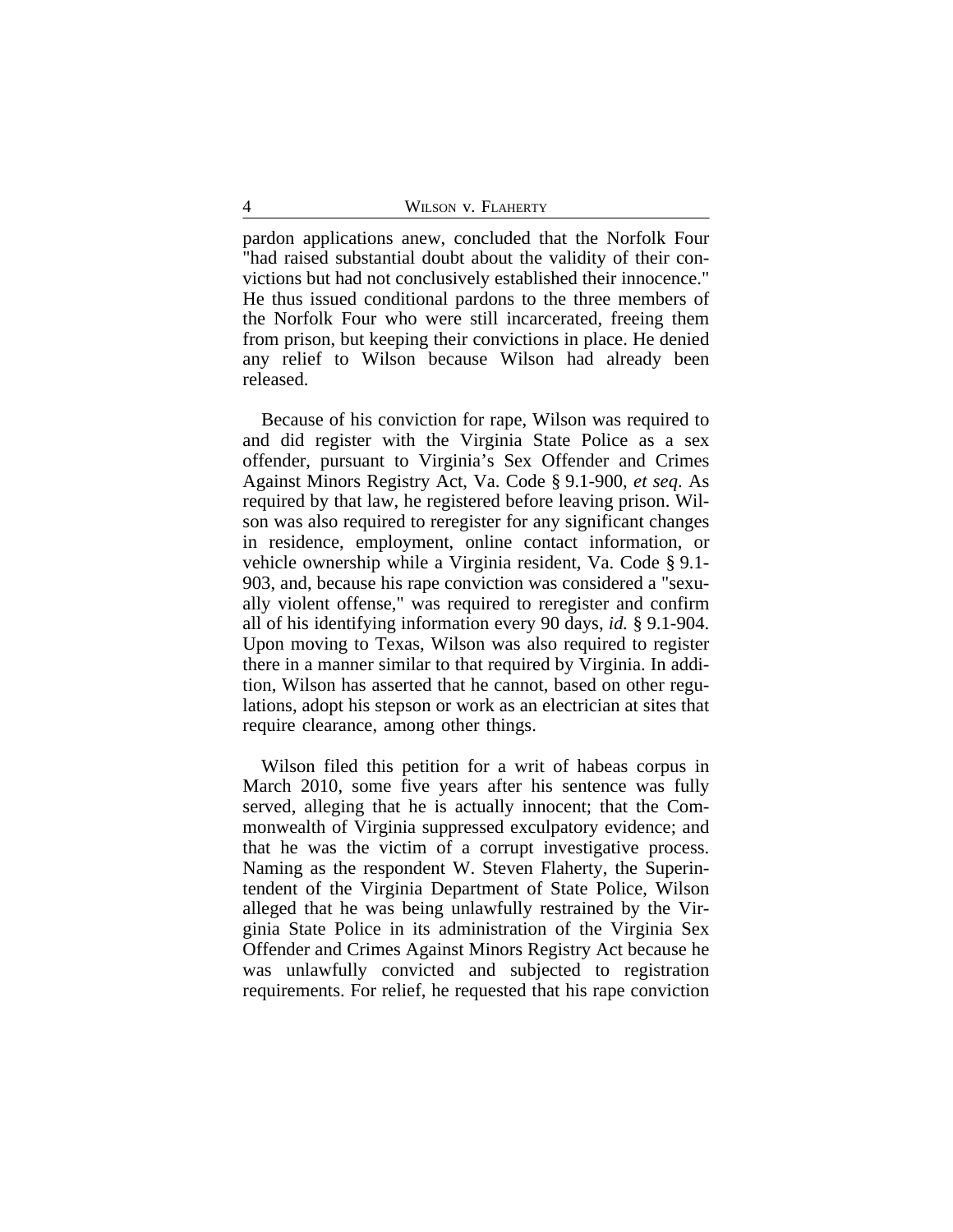pardon applications anew, concluded that the Norfolk Four "had raised substantial doubt about the validity of their convictions but had not conclusively established their innocence." He thus issued conditional pardons to the three members of the Norfolk Four who were still incarcerated, freeing them from prison, but keeping their convictions in place. He denied any relief to Wilson because Wilson had already been released.

Because of his conviction for rape, Wilson was required to and did register with the Virginia State Police as a sex offender, pursuant to Virginia's Sex Offender and Crimes Against Minors Registry Act, Va. Code § 9.1-900, *et seq*. As required by that law, he registered before leaving prison. Wilson was also required to reregister for any significant changes in residence, employment, online contact information, or vehicle ownership while a Virginia resident, Va. Code § 9.1- 903, and, because his rape conviction was considered a "sexually violent offense," was required to reregister and confirm all of his identifying information every 90 days, *id.* § 9.1-904. Upon moving to Texas, Wilson was also required to register there in a manner similar to that required by Virginia. In addition, Wilson has asserted that he cannot, based on other regulations, adopt his stepson or work as an electrician at sites that require clearance, among other things.

Wilson filed this petition for a writ of habeas corpus in March 2010, some five years after his sentence was fully served, alleging that he is actually innocent; that the Commonwealth of Virginia suppressed exculpatory evidence; and that he was the victim of a corrupt investigative process. Naming as the respondent W. Steven Flaherty, the Superintendent of the Virginia Department of State Police, Wilson alleged that he was being unlawfully restrained by the Virginia State Police in its administration of the Virginia Sex Offender and Crimes Against Minors Registry Act because he was unlawfully convicted and subjected to registration requirements. For relief, he requested that his rape conviction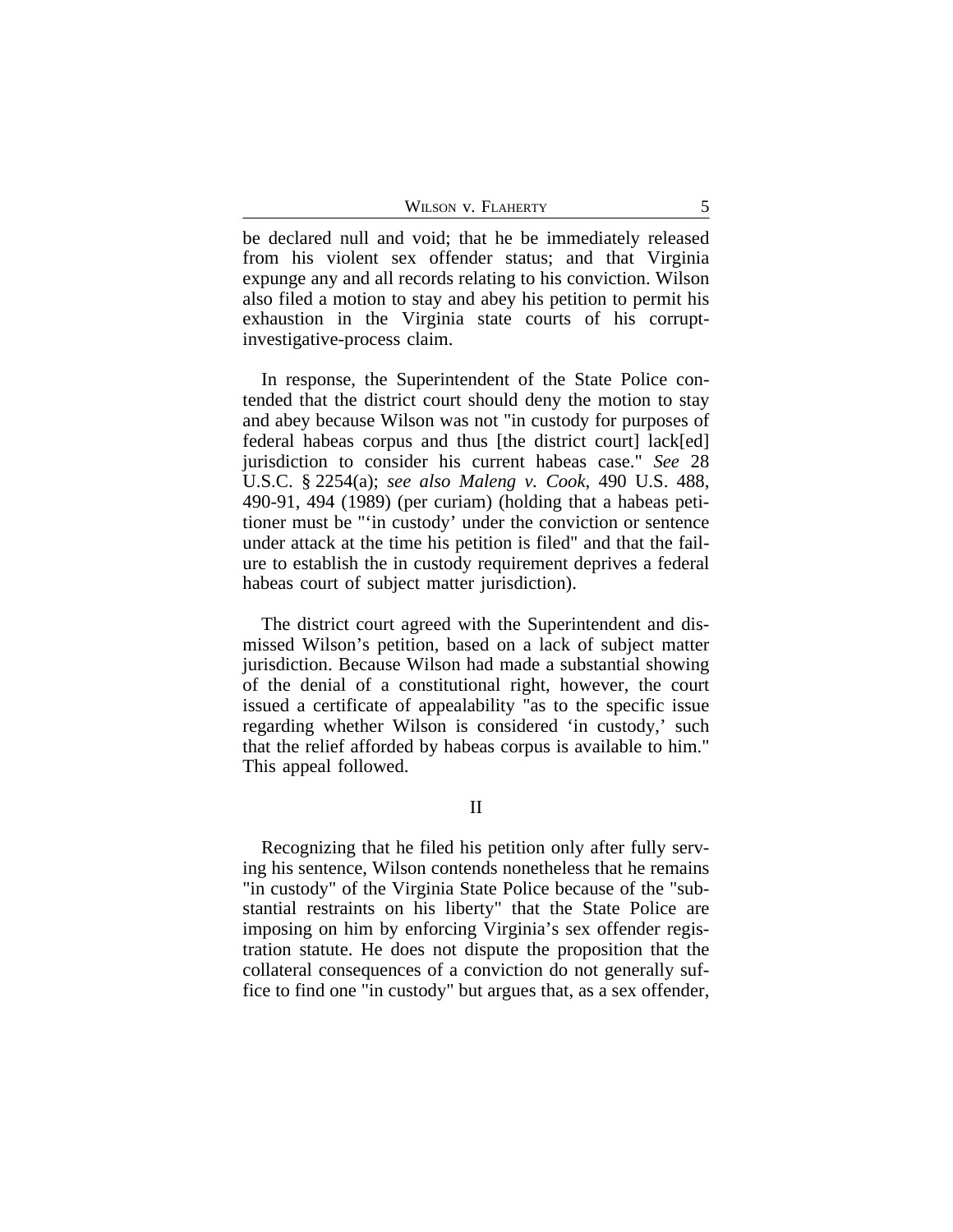| WILSON V. FLAHERTY |
|--------------------|
|                    |

be declared null and void; that he be immediately released from his violent sex offender status; and that Virginia expunge any and all records relating to his conviction. Wilson also filed a motion to stay and abey his petition to permit his exhaustion in the Virginia state courts of his corruptinvestigative-process claim.

In response, the Superintendent of the State Police contended that the district court should deny the motion to stay and abey because Wilson was not "in custody for purposes of federal habeas corpus and thus [the district court] lack[ed] jurisdiction to consider his current habeas case." *See* 28 U.S.C. § 2254(a); *see also Maleng v. Cook*, 490 U.S. 488, 490-91, 494 (1989) (per curiam) (holding that a habeas petitioner must be "'in custody' under the conviction or sentence under attack at the time his petition is filed" and that the failure to establish the in custody requirement deprives a federal habeas court of subject matter jurisdiction).

The district court agreed with the Superintendent and dismissed Wilson's petition, based on a lack of subject matter jurisdiction. Because Wilson had made a substantial showing of the denial of a constitutional right, however, the court issued a certificate of appealability "as to the specific issue regarding whether Wilson is considered 'in custody,' such that the relief afforded by habeas corpus is available to him." This appeal followed.

Recognizing that he filed his petition only after fully serving his sentence, Wilson contends nonetheless that he remains "in custody" of the Virginia State Police because of the "substantial restraints on his liberty" that the State Police are imposing on him by enforcing Virginia's sex offender registration statute. He does not dispute the proposition that the collateral consequences of a conviction do not generally suffice to find one "in custody" but argues that, as a sex offender,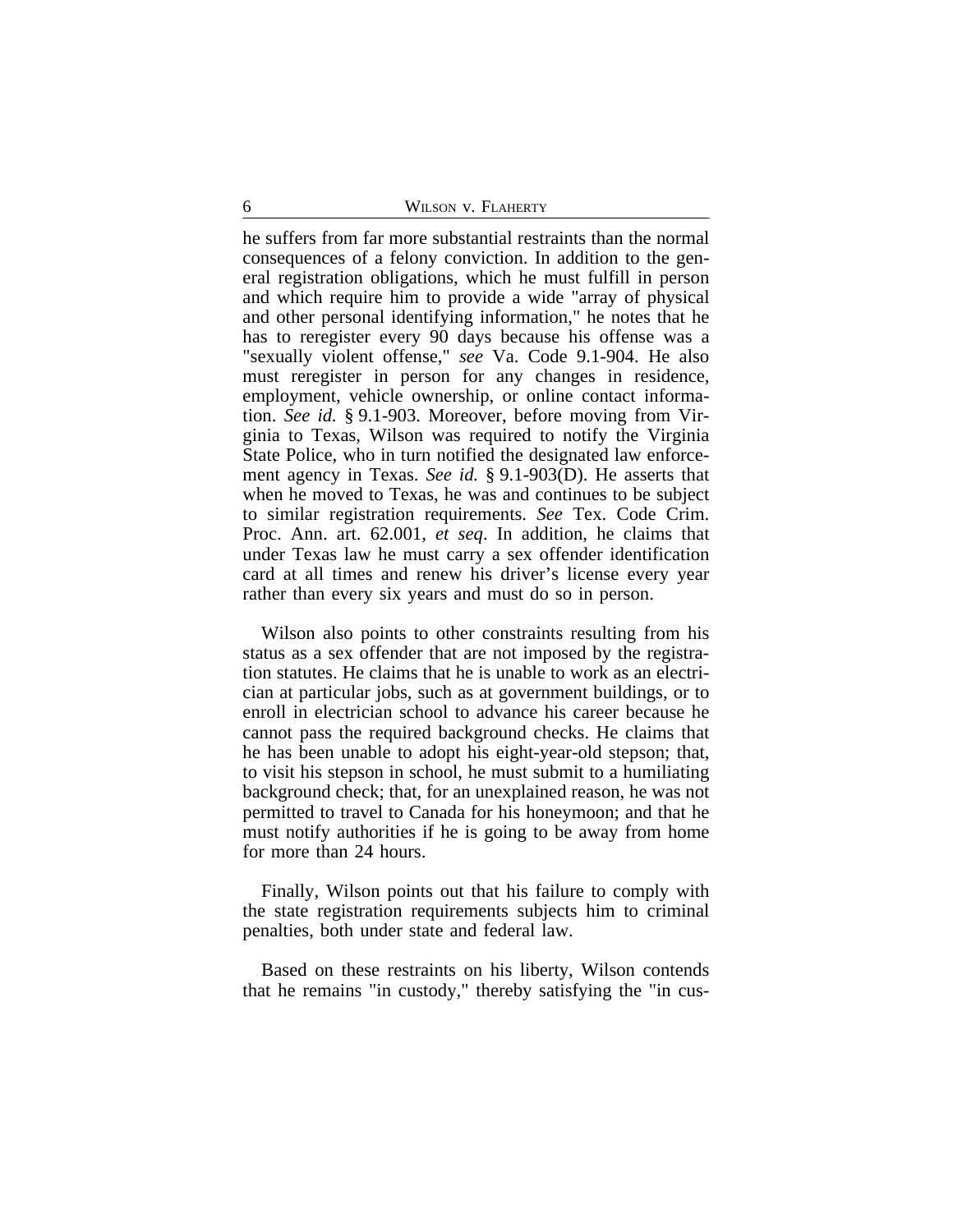he suffers from far more substantial restraints than the normal consequences of a felony conviction. In addition to the general registration obligations, which he must fulfill in person and which require him to provide a wide "array of physical and other personal identifying information," he notes that he has to reregister every 90 days because his offense was a "sexually violent offense," *see* Va. Code 9.1-904. He also must reregister in person for any changes in residence, employment, vehicle ownership, or online contact information. *See id.* § 9.1-903. Moreover, before moving from Virginia to Texas, Wilson was required to notify the Virginia State Police, who in turn notified the designated law enforcement agency in Texas. *See id.* § 9.1-903(D). He asserts that when he moved to Texas, he was and continues to be subject to similar registration requirements. *See* Tex. Code Crim. Proc. Ann. art. 62.001, *et seq*. In addition, he claims that under Texas law he must carry a sex offender identification card at all times and renew his driver's license every year rather than every six years and must do so in person.

Wilson also points to other constraints resulting from his status as a sex offender that are not imposed by the registration statutes. He claims that he is unable to work as an electrician at particular jobs, such as at government buildings, or to enroll in electrician school to advance his career because he cannot pass the required background checks. He claims that he has been unable to adopt his eight-year-old stepson; that, to visit his stepson in school, he must submit to a humiliating background check; that, for an unexplained reason, he was not permitted to travel to Canada for his honeymoon; and that he must notify authorities if he is going to be away from home for more than 24 hours.

Finally, Wilson points out that his failure to comply with the state registration requirements subjects him to criminal penalties, both under state and federal law.

Based on these restraints on his liberty, Wilson contends that he remains "in custody," thereby satisfying the "in cus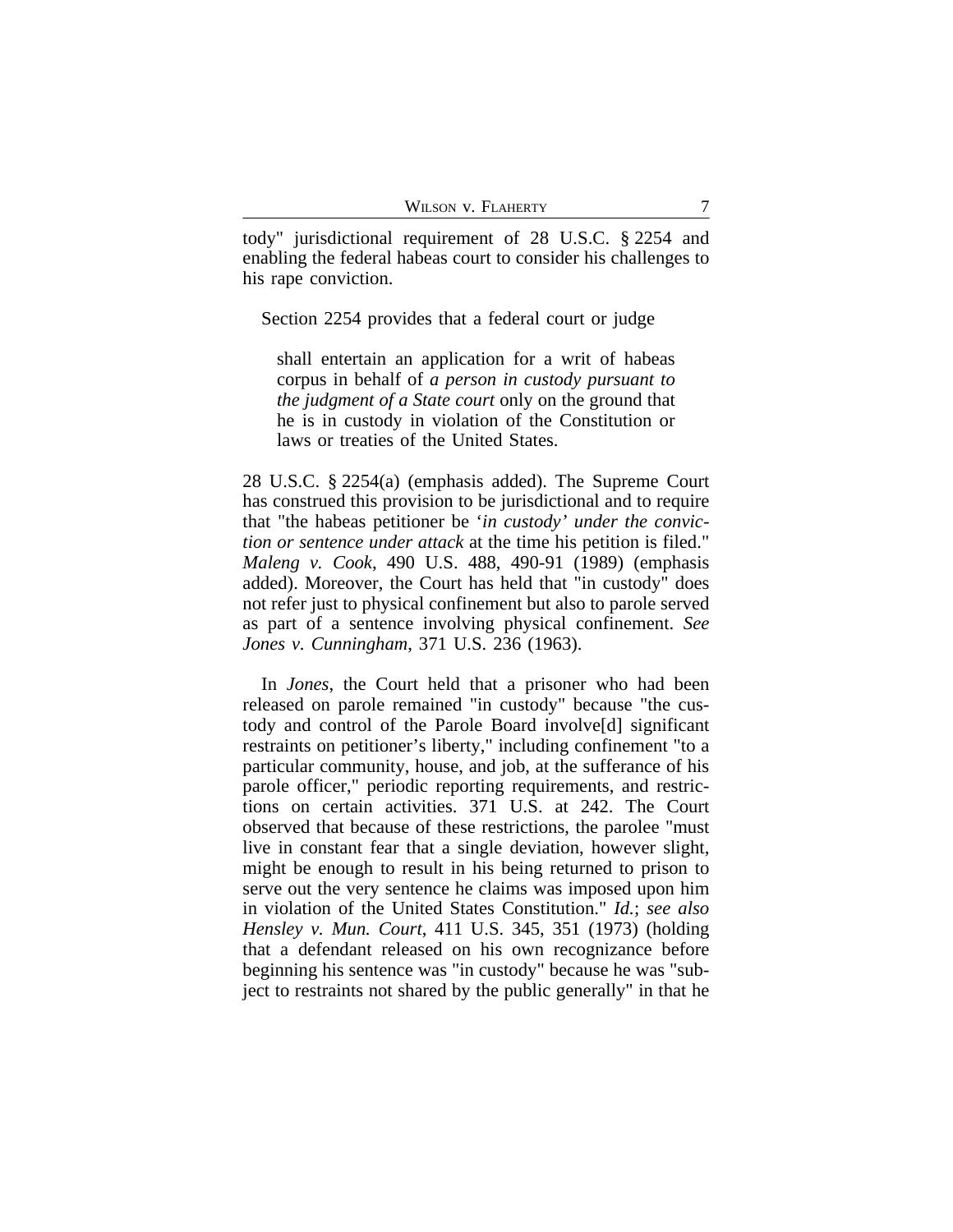tody" jurisdictional requirement of 28 U.S.C. § 2254 and enabling the federal habeas court to consider his challenges to his rape conviction.

Section 2254 provides that a federal court or judge

shall entertain an application for a writ of habeas corpus in behalf of *a person in custody pursuant to the judgment of a State court* only on the ground that he is in custody in violation of the Constitution or laws or treaties of the United States.

28 U.S.C. § 2254(a) (emphasis added). The Supreme Court has construed this provision to be jurisdictional and to require that "the habeas petitioner be '*in custody' under the conviction or sentence under attack* at the time his petition is filed." *Maleng v. Cook*, 490 U.S. 488, 490-91 (1989) (emphasis added). Moreover, the Court has held that "in custody" does not refer just to physical confinement but also to parole served as part of a sentence involving physical confinement. *See Jones v. Cunningham*, 371 U.S. 236 (1963).

In *Jones*, the Court held that a prisoner who had been released on parole remained "in custody" because "the custody and control of the Parole Board involve[d] significant restraints on petitioner's liberty," including confinement "to a particular community, house, and job, at the sufferance of his parole officer," periodic reporting requirements, and restrictions on certain activities. 371 U.S. at 242. The Court observed that because of these restrictions, the parolee "must live in constant fear that a single deviation, however slight, might be enough to result in his being returned to prison to serve out the very sentence he claims was imposed upon him in violation of the United States Constitution." *Id.*; *see also Hensley v. Mun. Court*, 411 U.S. 345, 351 (1973) (holding that a defendant released on his own recognizance before beginning his sentence was "in custody" because he was "subject to restraints not shared by the public generally" in that he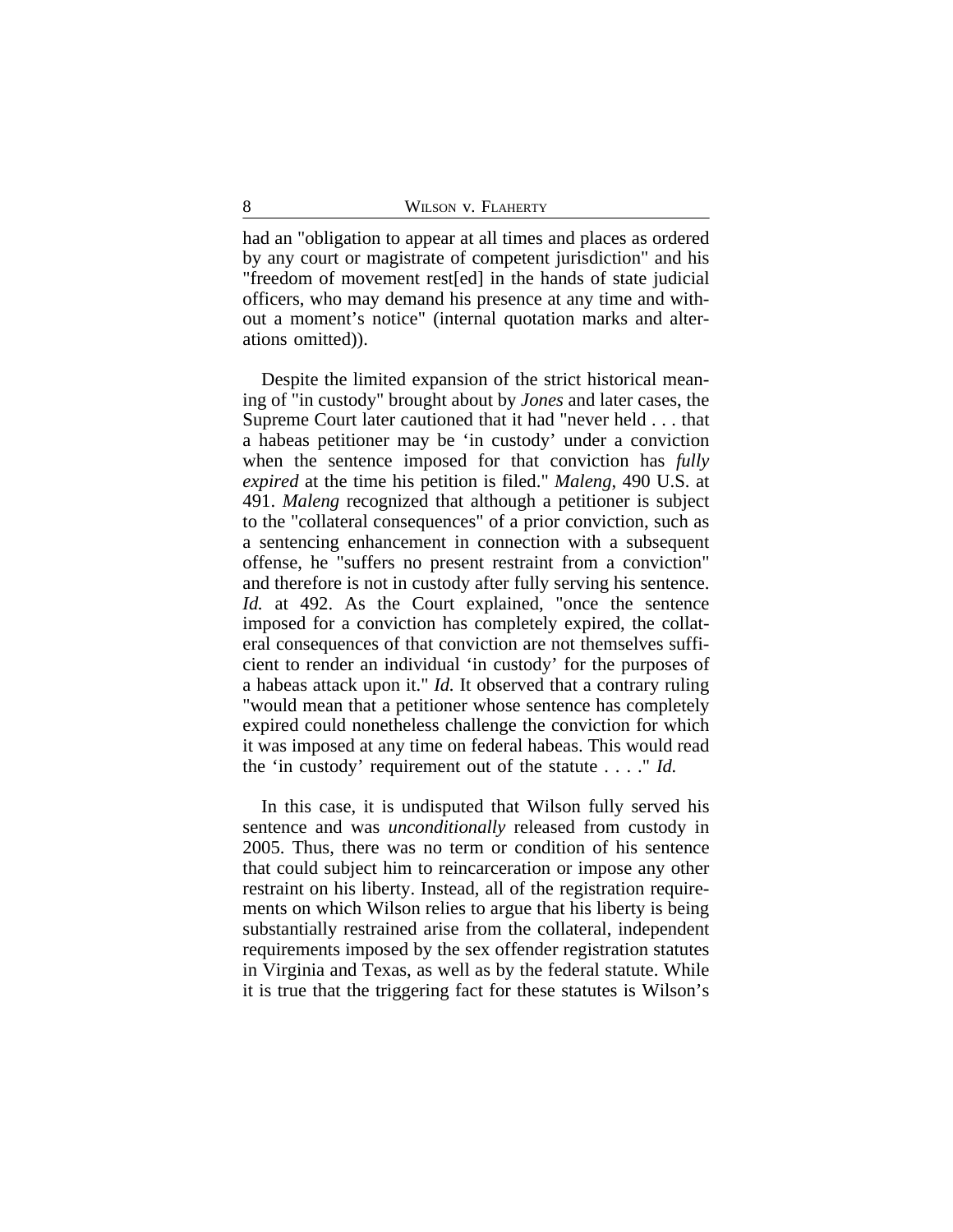had an "obligation to appear at all times and places as ordered by any court or magistrate of competent jurisdiction" and his "freedom of movement rest[ed] in the hands of state judicial officers, who may demand his presence at any time and without a moment's notice" (internal quotation marks and alterations omitted)).

Despite the limited expansion of the strict historical meaning of "in custody" brought about by *Jones* and later cases, the Supreme Court later cautioned that it had "never held . . . that a habeas petitioner may be 'in custody' under a conviction when the sentence imposed for that conviction has *fully expired* at the time his petition is filed." *Maleng*, 490 U.S. at 491. *Maleng* recognized that although a petitioner is subject to the "collateral consequences" of a prior conviction, such as a sentencing enhancement in connection with a subsequent offense, he "suffers no present restraint from a conviction" and therefore is not in custody after fully serving his sentence. *Id.* at 492. As the Court explained, "once the sentence imposed for a conviction has completely expired, the collateral consequences of that conviction are not themselves sufficient to render an individual 'in custody' for the purposes of a habeas attack upon it." *Id.* It observed that a contrary ruling "would mean that a petitioner whose sentence has completely expired could nonetheless challenge the conviction for which it was imposed at any time on federal habeas. This would read the 'in custody' requirement out of the statute . . . ." *Id.*

In this case, it is undisputed that Wilson fully served his sentence and was *unconditionally* released from custody in 2005. Thus, there was no term or condition of his sentence that could subject him to reincarceration or impose any other restraint on his liberty. Instead, all of the registration requirements on which Wilson relies to argue that his liberty is being substantially restrained arise from the collateral, independent requirements imposed by the sex offender registration statutes in Virginia and Texas, as well as by the federal statute. While it is true that the triggering fact for these statutes is Wilson's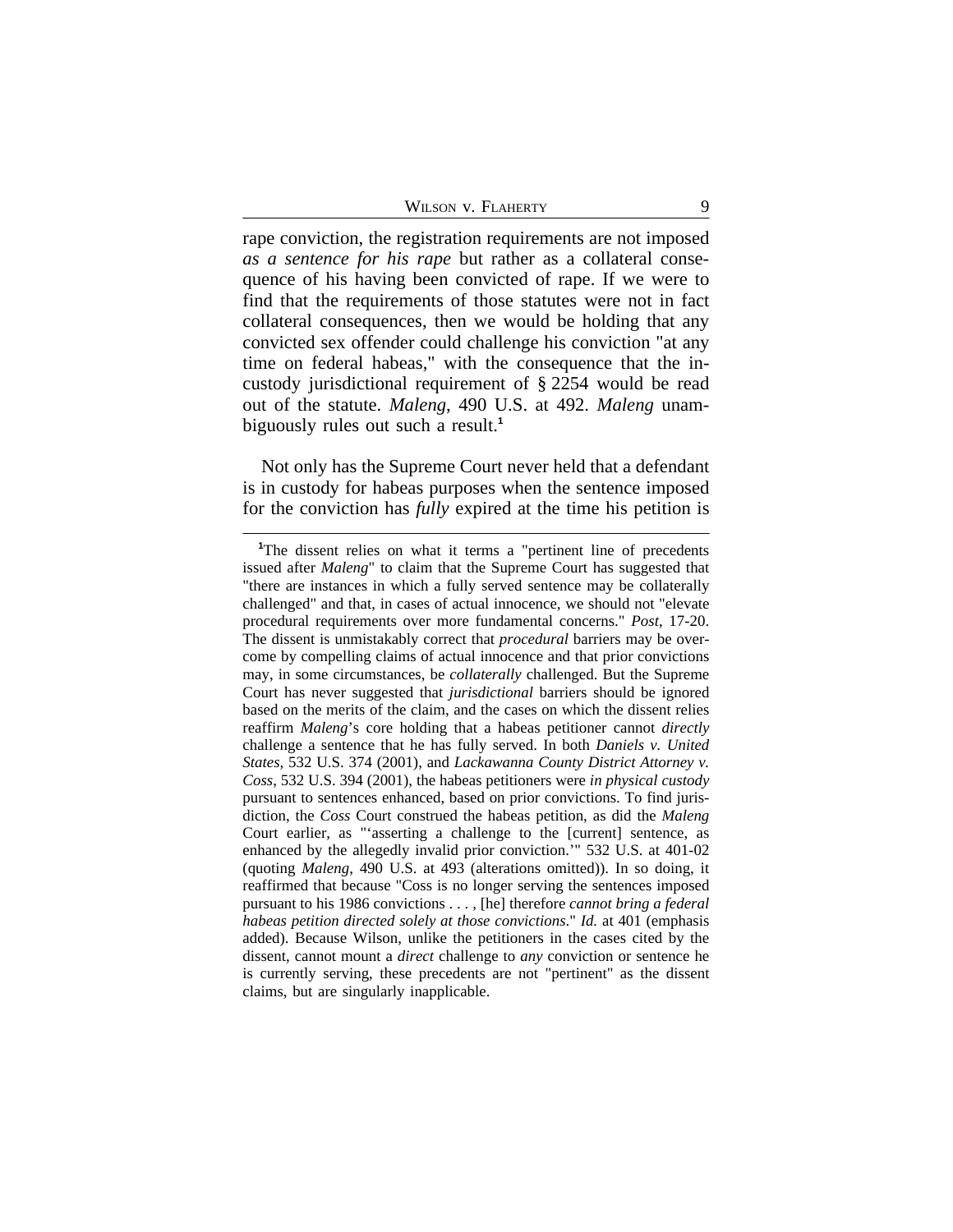rape conviction, the registration requirements are not imposed *as a sentence for his rape* but rather as a collateral consequence of his having been convicted of rape. If we were to find that the requirements of those statutes were not in fact collateral consequences, then we would be holding that any convicted sex offender could challenge his conviction "at any time on federal habeas," with the consequence that the incustody jurisdictional requirement of § 2254 would be read out of the statute. *Maleng*, 490 U.S. at 492. *Maleng* unambiguously rules out such a result.**<sup>1</sup>**

Not only has the Supreme Court never held that a defendant is in custody for habeas purposes when the sentence imposed for the conviction has *fully* expired at the time his petition is

<sup>&</sup>lt;sup>1</sup>The dissent relies on what it terms a "pertinent line of precedents" issued after *Maleng*" to claim that the Supreme Court has suggested that "there are instances in which a fully served sentence may be collaterally challenged" and that, in cases of actual innocence, we should not "elevate procedural requirements over more fundamental concerns." *Post*, 17-20. The dissent is unmistakably correct that *procedural* barriers may be overcome by compelling claims of actual innocence and that prior convictions may, in some circumstances, be *collaterally* challenged. But the Supreme Court has never suggested that *jurisdictional* barriers should be ignored based on the merits of the claim, and the cases on which the dissent relies reaffirm *Maleng*'s core holding that a habeas petitioner cannot *directly* challenge a sentence that he has fully served. In both *Daniels v. United States*, 532 U.S. 374 (2001), and *Lackawanna County District Attorney v. Coss*, 532 U.S. 394 (2001), the habeas petitioners were *in physical custody* pursuant to sentences enhanced, based on prior convictions. To find jurisdiction, the *Coss* Court construed the habeas petition, as did the *Maleng* Court earlier, as "'asserting a challenge to the [current] sentence, as enhanced by the allegedly invalid prior conviction.'" 532 U.S. at 401-02 (quoting *Maleng*, 490 U.S. at 493 (alterations omitted)). In so doing, it reaffirmed that because "Coss is no longer serving the sentences imposed pursuant to his 1986 convictions . . . , [he] therefore *cannot bring a federal habeas petition directed solely at those convictions*." *Id.* at 401 (emphasis added). Because Wilson, unlike the petitioners in the cases cited by the dissent, cannot mount a *direct* challenge to *any* conviction or sentence he is currently serving, these precedents are not "pertinent" as the dissent claims, but are singularly inapplicable.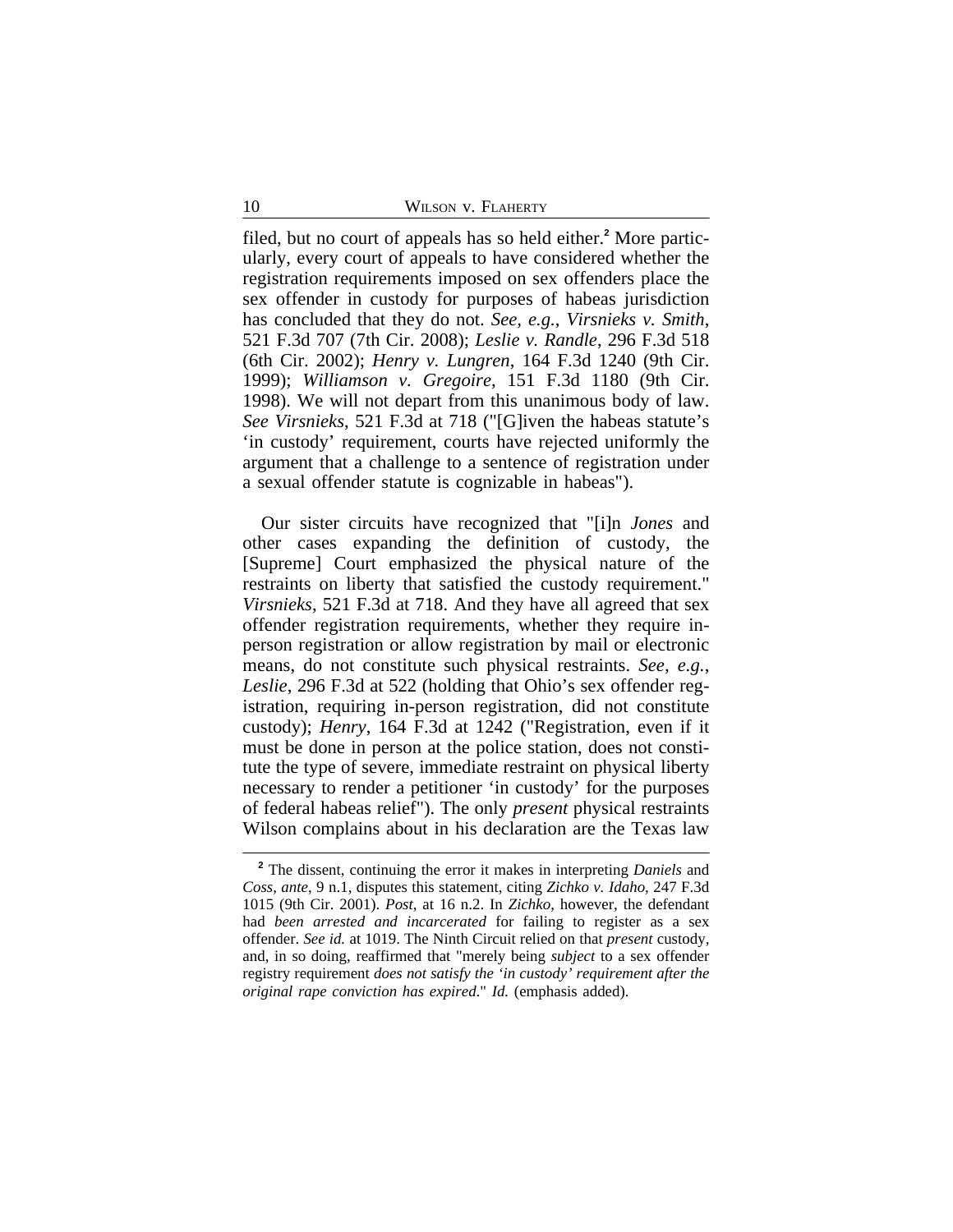filed, but no court of appeals has so held either.**<sup>2</sup>** More particularly, every court of appeals to have considered whether the registration requirements imposed on sex offenders place the sex offender in custody for purposes of habeas jurisdiction has concluded that they do not. *See, e.g.*, *Virsnieks v. Smith*, 521 F.3d 707 (7th Cir. 2008); *Leslie v. Randle*, 296 F.3d 518 (6th Cir. 2002); *Henry v. Lungren*, 164 F.3d 1240 (9th Cir. 1999); *Williamson v. Gregoire*, 151 F.3d 1180 (9th Cir. 1998). We will not depart from this unanimous body of law. *See Virsnieks*, 521 F.3d at 718 ("[G]iven the habeas statute's 'in custody' requirement, courts have rejected uniformly the argument that a challenge to a sentence of registration under a sexual offender statute is cognizable in habeas").

Our sister circuits have recognized that "[i]n *Jones* and other cases expanding the definition of custody, the [Supreme] Court emphasized the physical nature of the restraints on liberty that satisfied the custody requirement." *Virsnieks*, 521 F.3d at 718. And they have all agreed that sex offender registration requirements, whether they require inperson registration or allow registration by mail or electronic means, do not constitute such physical restraints. *See, e.g.*, *Leslie*, 296 F.3d at 522 (holding that Ohio's sex offender registration, requiring in-person registration, did not constitute custody); *Henry*, 164 F.3d at 1242 ("Registration, even if it must be done in person at the police station, does not constitute the type of severe, immediate restraint on physical liberty necessary to render a petitioner 'in custody' for the purposes of federal habeas relief"). The only *present* physical restraints Wilson complains about in his declaration are the Texas law

**<sup>2</sup>** The dissent, continuing the error it makes in interpreting *Daniels* and *Coss*, *ante*, 9 n.1, disputes this statement, citing *Zichko v. Idaho*, 247 F.3d 1015 (9th Cir. 2001). *Post*, at 16 n.2. In *Zichko*, however, the defendant had *been arrested and incarcerated* for failing to register as a sex offender. *See id.* at 1019. The Ninth Circuit relied on that *present* custody, and, in so doing, reaffirmed that "merely being *subject* to a sex offender registry requirement *does not satisfy the 'in custody' requirement after the original rape conviction has expired*." *Id.* (emphasis added).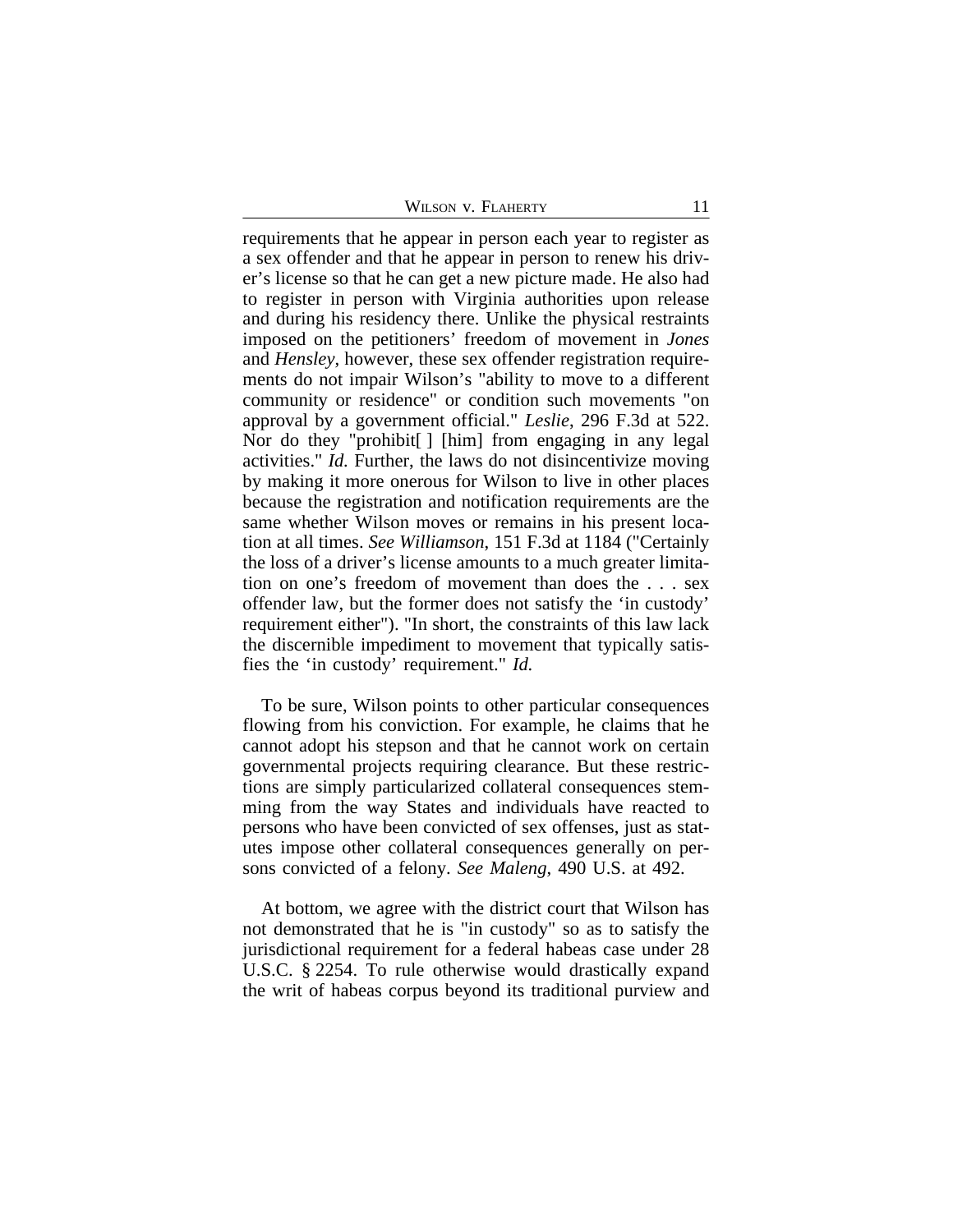requirements that he appear in person each year to register as a sex offender and that he appear in person to renew his driver's license so that he can get a new picture made. He also had to register in person with Virginia authorities upon release and during his residency there. Unlike the physical restraints imposed on the petitioners' freedom of movement in *Jones* and *Hensley*, however, these sex offender registration requirements do not impair Wilson's "ability to move to a different community or residence" or condition such movements "on approval by a government official." *Leslie*, 296 F.3d at 522. Nor do they "prohibit[ ] [him] from engaging in any legal activities." *Id.* Further, the laws do not disincentivize moving by making it more onerous for Wilson to live in other places because the registration and notification requirements are the same whether Wilson moves or remains in his present location at all times. *See Williamson*, 151 F.3d at 1184 ("Certainly the loss of a driver's license amounts to a much greater limitation on one's freedom of movement than does the . . . sex offender law, but the former does not satisfy the 'in custody' requirement either"). "In short, the constraints of this law lack the discernible impediment to movement that typically satisfies the 'in custody' requirement." *Id.*

To be sure, Wilson points to other particular consequences flowing from his conviction. For example, he claims that he cannot adopt his stepson and that he cannot work on certain governmental projects requiring clearance. But these restrictions are simply particularized collateral consequences stemming from the way States and individuals have reacted to persons who have been convicted of sex offenses, just as statutes impose other collateral consequences generally on persons convicted of a felony. *See Maleng*, 490 U.S. at 492.

At bottom, we agree with the district court that Wilson has not demonstrated that he is "in custody" so as to satisfy the jurisdictional requirement for a federal habeas case under 28 U.S.C. § 2254. To rule otherwise would drastically expand the writ of habeas corpus beyond its traditional purview and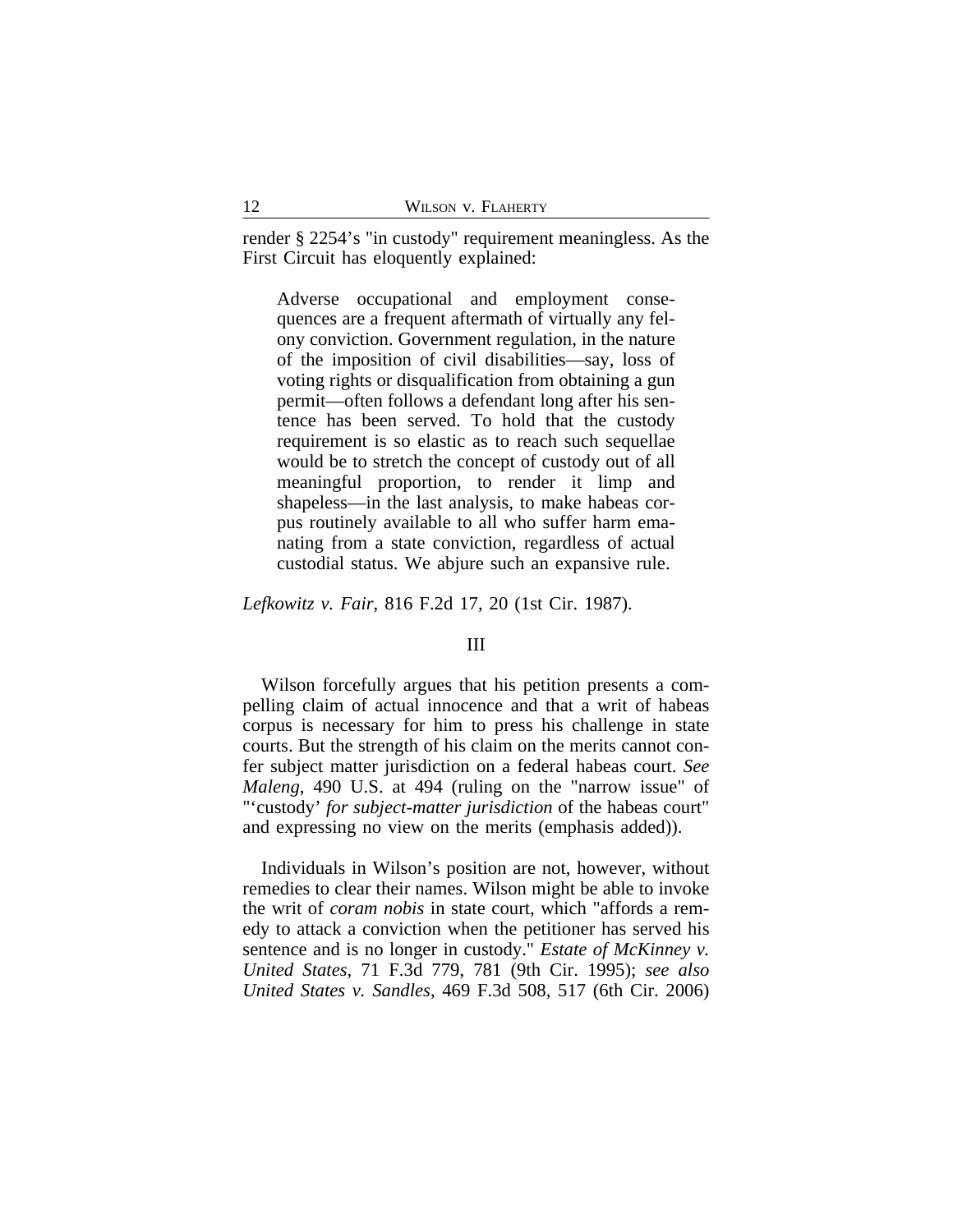render § 2254's "in custody" requirement meaningless. As the First Circuit has eloquently explained:

Adverse occupational and employment consequences are a frequent aftermath of virtually any felony conviction. Government regulation, in the nature of the imposition of civil disabilities—say, loss of voting rights or disqualification from obtaining a gun permit—often follows a defendant long after his sentence has been served. To hold that the custody requirement is so elastic as to reach such sequellae would be to stretch the concept of custody out of all meaningful proportion, to render it limp and shapeless—in the last analysis, to make habeas corpus routinely available to all who suffer harm emanating from a state conviction, regardless of actual custodial status. We abjure such an expansive rule.

*Lefkowitz v. Fair*, 816 F.2d 17, 20 (1st Cir. 1987).

## III

Wilson forcefully argues that his petition presents a compelling claim of actual innocence and that a writ of habeas corpus is necessary for him to press his challenge in state courts. But the strength of his claim on the merits cannot confer subject matter jurisdiction on a federal habeas court. *See Maleng*, 490 U.S. at 494 (ruling on the "narrow issue" of "'custody' *for subject-matter jurisdiction* of the habeas court" and expressing no view on the merits (emphasis added)).

Individuals in Wilson's position are not, however, without remedies to clear their names. Wilson might be able to invoke the writ of *coram nobis* in state court, which "affords a remedy to attack a conviction when the petitioner has served his sentence and is no longer in custody." *Estate of McKinney v. United States*, 71 F.3d 779, 781 (9th Cir. 1995); *see also United States v. Sandles*, 469 F.3d 508, 517 (6th Cir. 2006)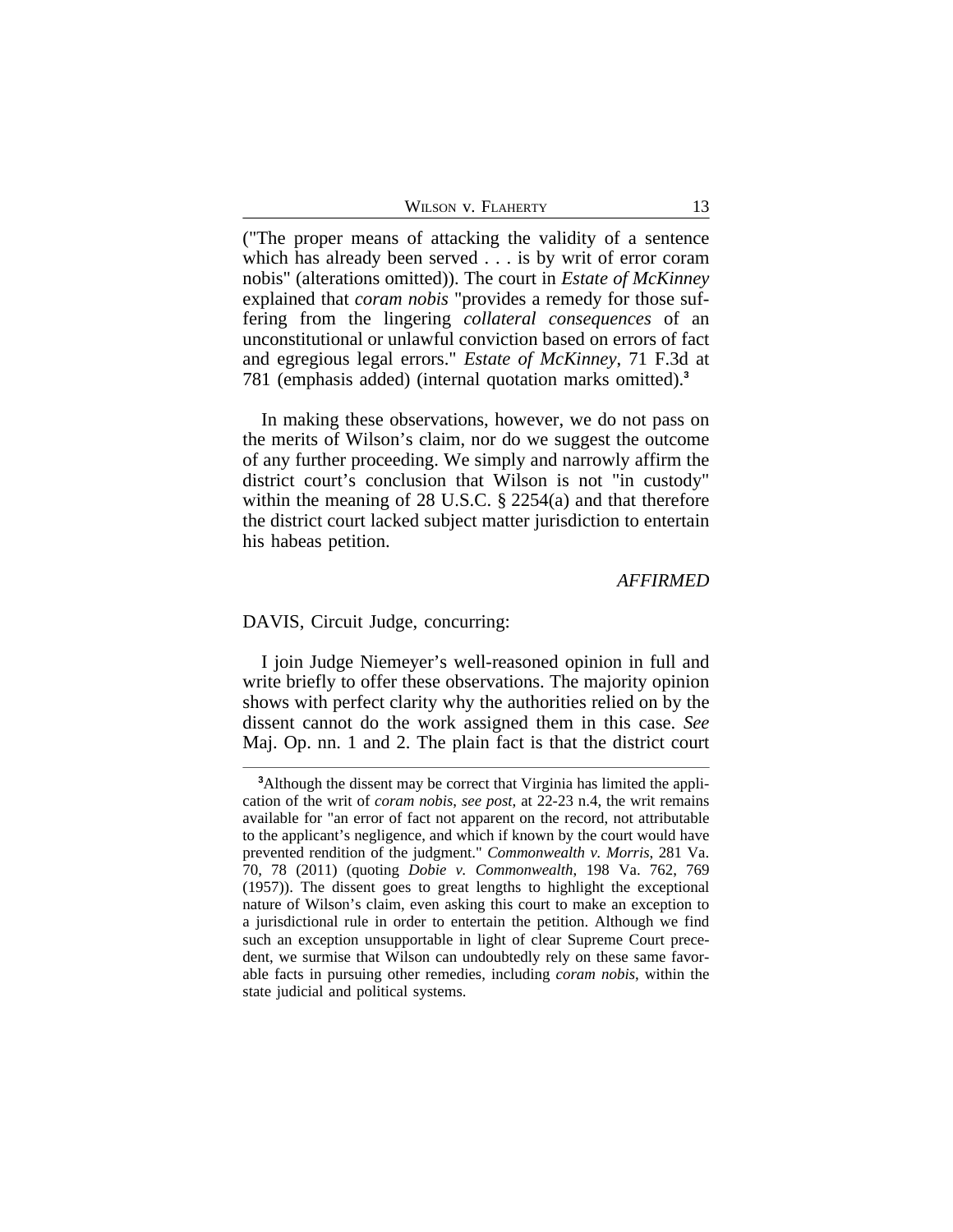| WILSON V. FLAHERTY |  |
|--------------------|--|
|                    |  |

("The proper means of attacking the validity of a sentence which has already been served . . . is by writ of error coram nobis" (alterations omitted)). The court in *Estate of McKinney* explained that *coram nobis* "provides a remedy for those suffering from the lingering *collateral consequences* of an unconstitutional or unlawful conviction based on errors of fact and egregious legal errors." *Estate of McKinney*, 71 F.3d at 781 (emphasis added) (internal quotation marks omitted).**<sup>3</sup>**

In making these observations, however, we do not pass on the merits of Wilson's claim, nor do we suggest the outcome of any further proceeding. We simply and narrowly affirm the district court's conclusion that Wilson is not "in custody" within the meaning of 28 U.S.C. § 2254(a) and that therefore the district court lacked subject matter jurisdiction to entertain his habeas petition.

## *AFFIRMED*

#### DAVIS, Circuit Judge, concurring:

I join Judge Niemeyer's well-reasoned opinion in full and write briefly to offer these observations. The majority opinion shows with perfect clarity why the authorities relied on by the dissent cannot do the work assigned them in this case. *See* Maj. Op. nn. 1 and 2. The plain fact is that the district court

**<sup>3</sup>**Although the dissent may be correct that Virginia has limited the application of the writ of *coram nobis*, *see post*, at 22-23 n.4, the writ remains available for "an error of fact not apparent on the record, not attributable to the applicant's negligence, and which if known by the court would have prevented rendition of the judgment." *Commonwealth v. Morris*, 281 Va. 70, 78 (2011) (quoting *Dobie v. Commonwealth*, 198 Va. 762, 769 (1957)). The dissent goes to great lengths to highlight the exceptional nature of Wilson's claim, even asking this court to make an exception to a jurisdictional rule in order to entertain the petition. Although we find such an exception unsupportable in light of clear Supreme Court precedent, we surmise that Wilson can undoubtedly rely on these same favorable facts in pursuing other remedies, including *coram nobis*, within the state judicial and political systems.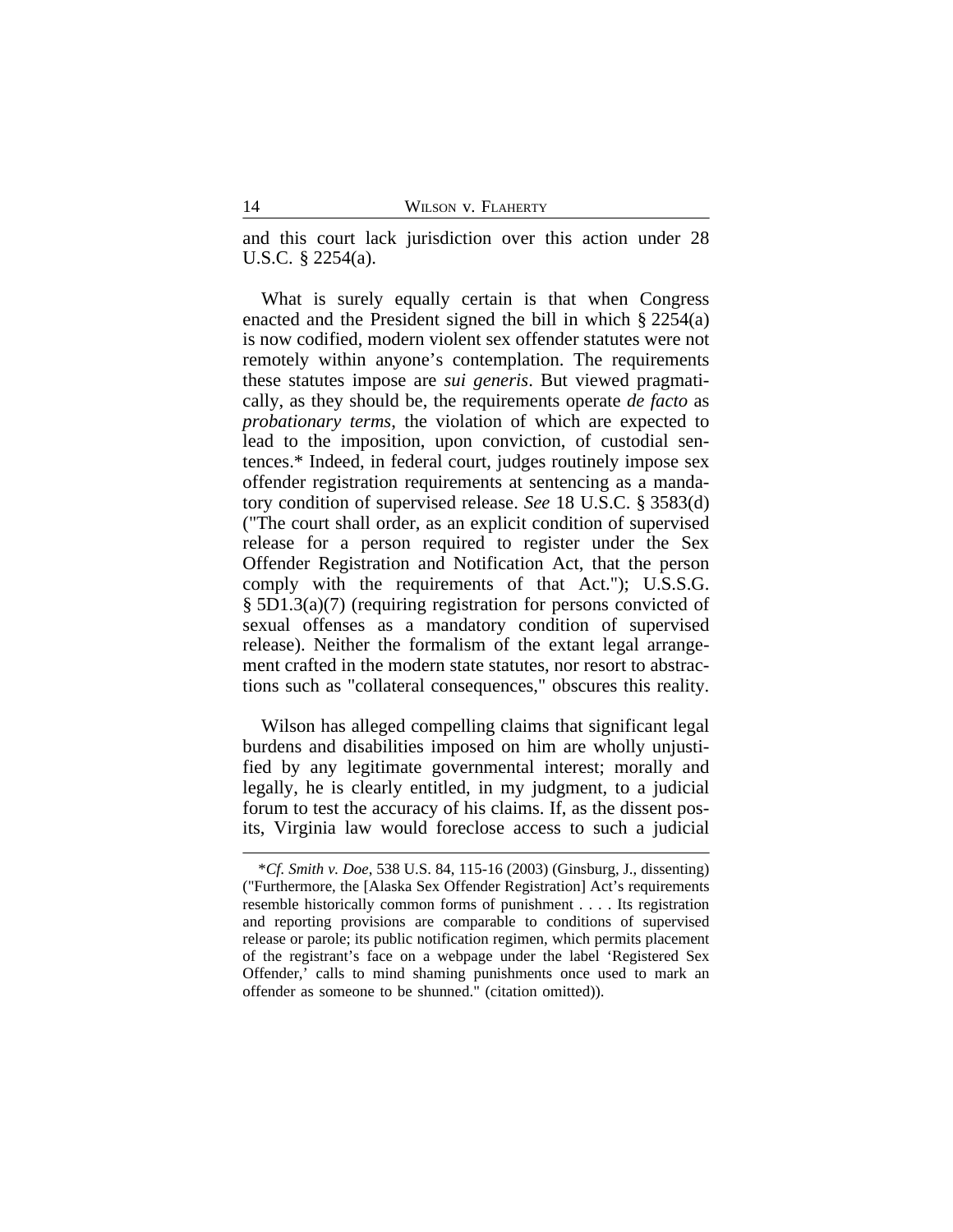and this court lack jurisdiction over this action under 28 U.S.C. § 2254(a).

What is surely equally certain is that when Congress enacted and the President signed the bill in which § 2254(a) is now codified, modern violent sex offender statutes were not remotely within anyone's contemplation. The requirements these statutes impose are *sui generis*. But viewed pragmatically, as they should be, the requirements operate *de facto* as *probationary terms*, the violation of which are expected to lead to the imposition, upon conviction, of custodial sentences.\* Indeed, in federal court, judges routinely impose sex offender registration requirements at sentencing as a mandatory condition of supervised release. *See* 18 U.S.C. § 3583(d) ("The court shall order, as an explicit condition of supervised release for a person required to register under the Sex Offender Registration and Notification Act, that the person comply with the requirements of that Act."); U.S.S.G. § 5D1.3(a)(7) (requiring registration for persons convicted of sexual offenses as a mandatory condition of supervised release). Neither the formalism of the extant legal arrangement crafted in the modern state statutes, nor resort to abstractions such as "collateral consequences," obscures this reality.

Wilson has alleged compelling claims that significant legal burdens and disabilities imposed on him are wholly unjustified by any legitimate governmental interest; morally and legally, he is clearly entitled, in my judgment, to a judicial forum to test the accuracy of his claims. If, as the dissent posits, Virginia law would foreclose access to such a judicial

<sup>\*</sup>*Cf. Smith v. Doe*, 538 U.S. 84, 115-16 (2003) (Ginsburg, J., dissenting) ("Furthermore, the [Alaska Sex Offender Registration] Act's requirements resemble historically common forms of punishment . . . . Its registration and reporting provisions are comparable to conditions of supervised release or parole; its public notification regimen, which permits placement of the registrant's face on a webpage under the label 'Registered Sex Offender,' calls to mind shaming punishments once used to mark an offender as someone to be shunned." (citation omitted)).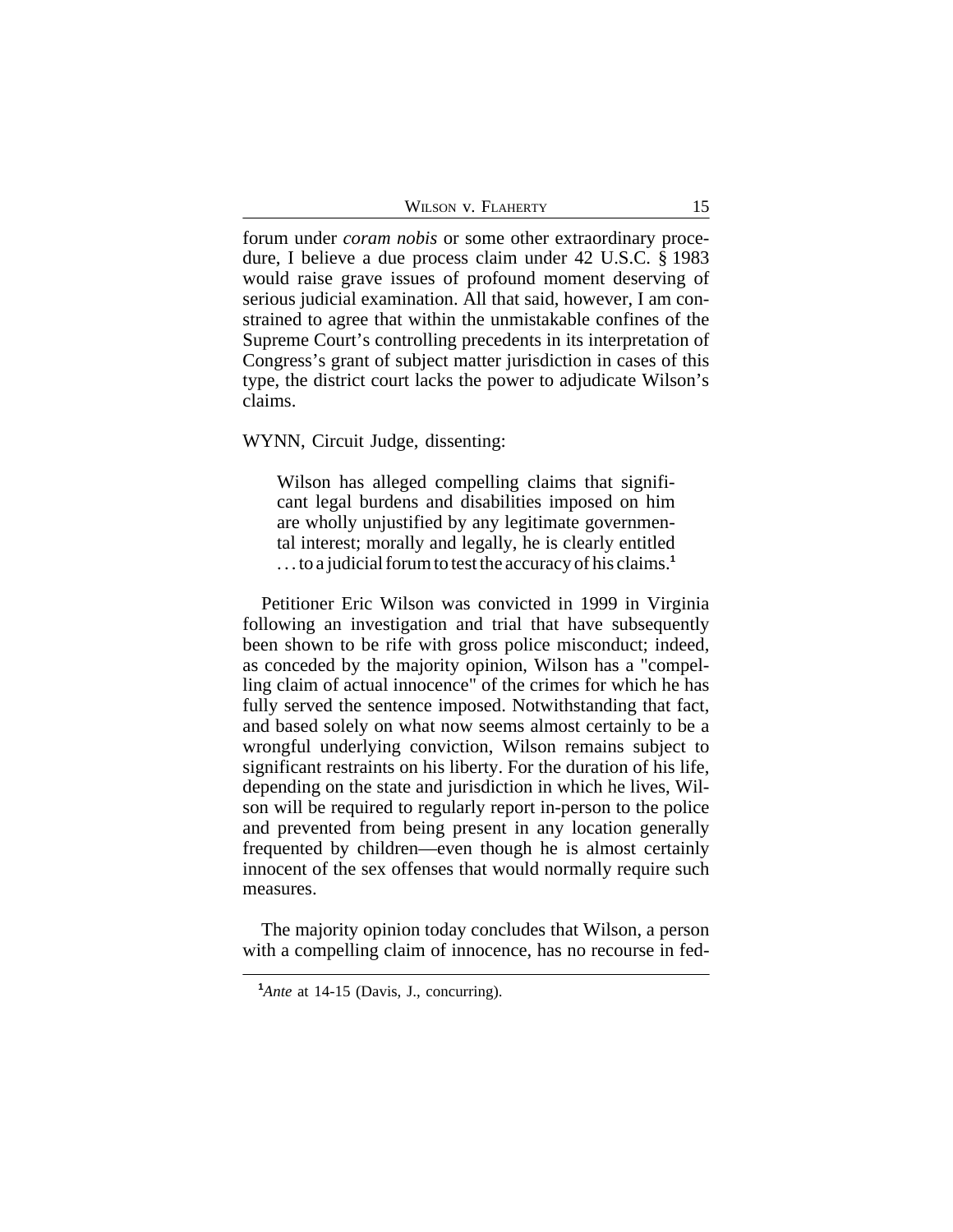WILSON V. FLAHERTY 15

forum under *coram nobis* or some other extraordinary procedure, I believe a due process claim under 42 U.S.C. § 1983 would raise grave issues of profound moment deserving of serious judicial examination. All that said, however, I am constrained to agree that within the unmistakable confines of the Supreme Court's controlling precedents in its interpretation of Congress's grant of subject matter jurisdiction in cases of this type, the district court lacks the power to adjudicate Wilson's claims.

WYNN, Circuit Judge, dissenting:

Wilson has alleged compelling claims that significant legal burdens and disabilities imposed on him are wholly unjustified by any legitimate governmental interest; morally and legally, he is clearly entitled . . . to a judicial forum to test the accuracy of his claims.**<sup>1</sup>**

Petitioner Eric Wilson was convicted in 1999 in Virginia following an investigation and trial that have subsequently been shown to be rife with gross police misconduct; indeed, as conceded by the majority opinion, Wilson has a "compelling claim of actual innocence" of the crimes for which he has fully served the sentence imposed. Notwithstanding that fact, and based solely on what now seems almost certainly to be a wrongful underlying conviction, Wilson remains subject to significant restraints on his liberty. For the duration of his life, depending on the state and jurisdiction in which he lives, Wilson will be required to regularly report in-person to the police and prevented from being present in any location generally frequented by children—even though he is almost certainly innocent of the sex offenses that would normally require such measures.

The majority opinion today concludes that Wilson, a person with a compelling claim of innocence, has no recourse in fed-

<sup>&</sup>lt;sup>1</sup>*Ante* at 14-15 (Davis, J., concurring).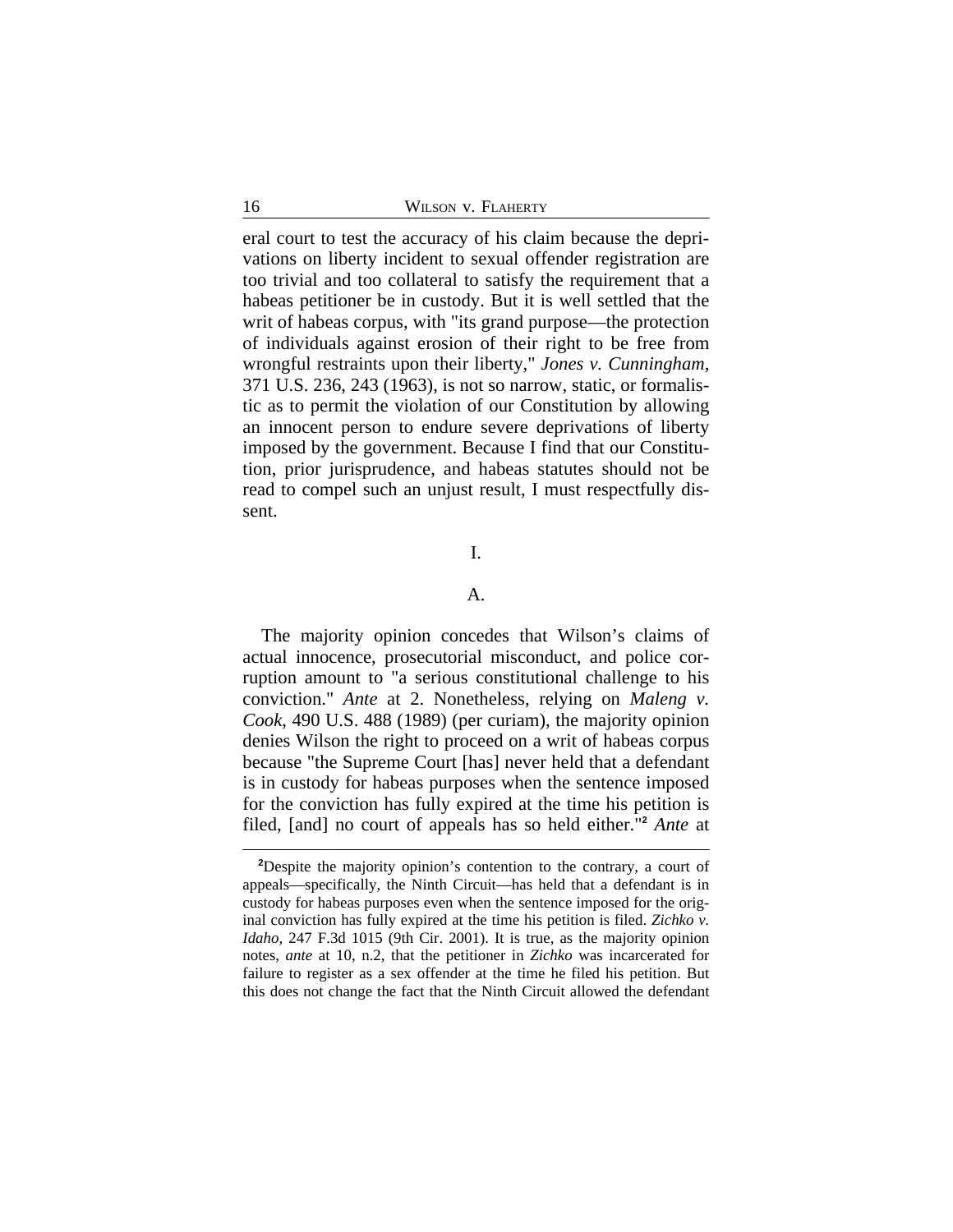eral court to test the accuracy of his claim because the deprivations on liberty incident to sexual offender registration are too trivial and too collateral to satisfy the requirement that a habeas petitioner be in custody. But it is well settled that the writ of habeas corpus, with "its grand purpose—the protection of individuals against erosion of their right to be free from wrongful restraints upon their liberty," *Jones v. Cunningham*, 371 U.S. 236, 243 (1963), is not so narrow, static, or formalistic as to permit the violation of our Constitution by allowing an innocent person to endure severe deprivations of liberty imposed by the government. Because I find that our Constitution, prior jurisprudence, and habeas statutes should not be read to compel such an unjust result, I must respectfully dissent.

## I.

### A.

The majority opinion concedes that Wilson's claims of actual innocence, prosecutorial misconduct, and police corruption amount to "a serious constitutional challenge to his conviction." *Ante* at 2. Nonetheless, relying on *Maleng v. Cook*, 490 U.S. 488 (1989) (per curiam), the majority opinion denies Wilson the right to proceed on a writ of habeas corpus because "the Supreme Court [has] never held that a defendant is in custody for habeas purposes when the sentence imposed for the conviction has fully expired at the time his petition is filed, [and] no court of appeals has so held either."**<sup>2</sup>** *Ante* at

**<sup>2</sup>**Despite the majority opinion's contention to the contrary, a court of appeals—specifically, the Ninth Circuit—has held that a defendant is in custody for habeas purposes even when the sentence imposed for the original conviction has fully expired at the time his petition is filed. *Zichko v. Idaho*, 247 F.3d 1015 (9th Cir. 2001). It is true, as the majority opinion notes, *ante* at 10, n.2, that the petitioner in *Zichko* was incarcerated for failure to register as a sex offender at the time he filed his petition. But this does not change the fact that the Ninth Circuit allowed the defendant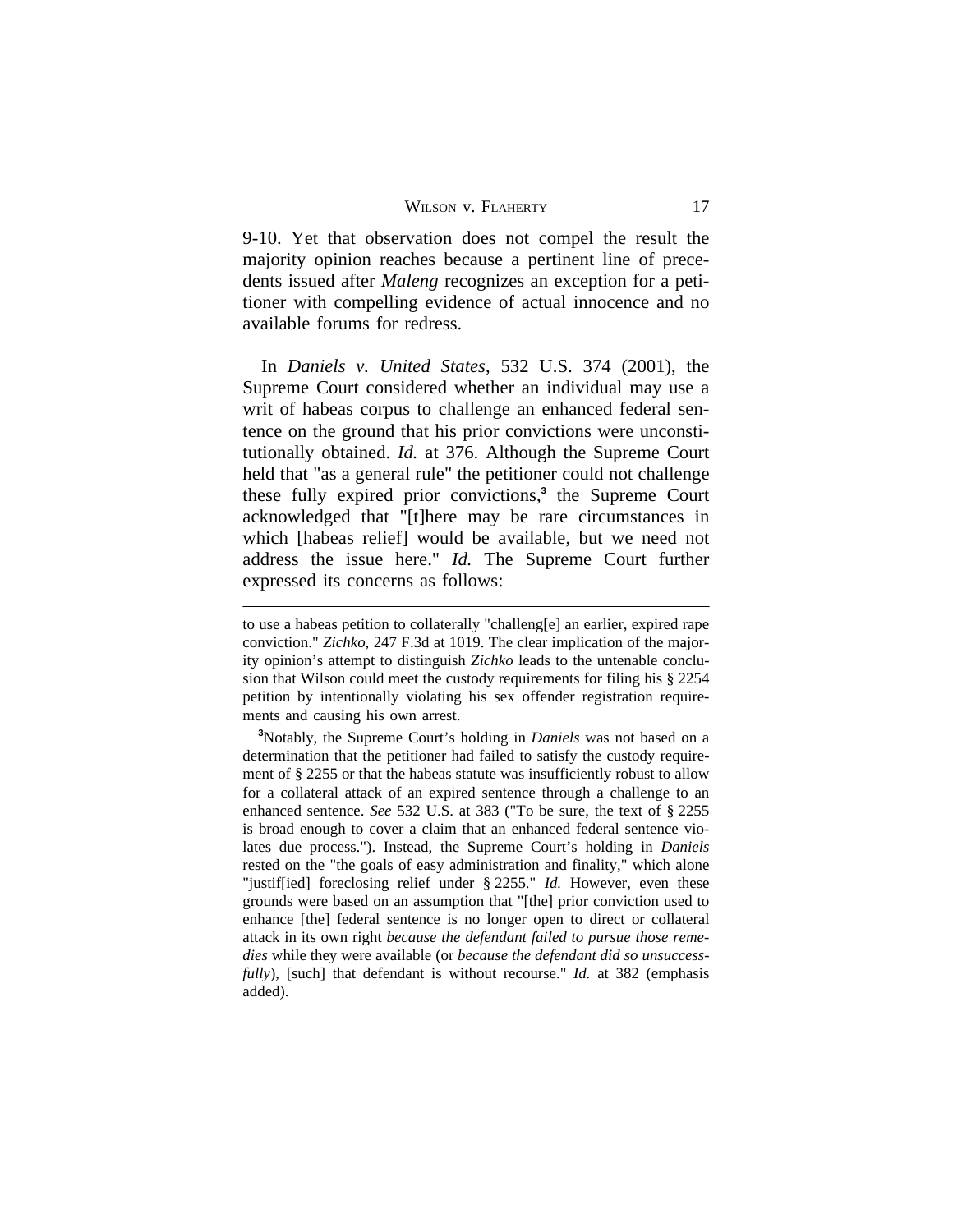9-10. Yet that observation does not compel the result the majority opinion reaches because a pertinent line of precedents issued after *Maleng* recognizes an exception for a petitioner with compelling evidence of actual innocence and no available forums for redress.

In *Daniels v. United States*, 532 U.S. 374 (2001), the Supreme Court considered whether an individual may use a writ of habeas corpus to challenge an enhanced federal sentence on the ground that his prior convictions were unconstitutionally obtained. *Id.* at 376. Although the Supreme Court held that "as a general rule" the petitioner could not challenge these fully expired prior convictions,**<sup>3</sup>** the Supreme Court acknowledged that "[t]here may be rare circumstances in which [habeas relief] would be available, but we need not address the issue here." *Id.* The Supreme Court further expressed its concerns as follows:

to use a habeas petition to collaterally "challeng[e] an earlier, expired rape conviction." *Zichko*, 247 F.3d at 1019. The clear implication of the majority opinion's attempt to distinguish *Zichko* leads to the untenable conclusion that Wilson could meet the custody requirements for filing his § 2254 petition by intentionally violating his sex offender registration requirements and causing his own arrest.

**<sup>3</sup>**Notably, the Supreme Court's holding in *Daniels* was not based on a determination that the petitioner had failed to satisfy the custody requirement of § 2255 or that the habeas statute was insufficiently robust to allow for a collateral attack of an expired sentence through a challenge to an enhanced sentence. *See* 532 U.S. at 383 ("To be sure, the text of § 2255 is broad enough to cover a claim that an enhanced federal sentence violates due process."). Instead, the Supreme Court's holding in *Daniels* rested on the "the goals of easy administration and finality," which alone "justif[ied] foreclosing relief under § 2255." *Id.* However, even these grounds were based on an assumption that "[the] prior conviction used to enhance [the] federal sentence is no longer open to direct or collateral attack in its own right *because the defendant failed to pursue those remedies* while they were available (or *because the defendant did so unsuccessfully*), [such] that defendant is without recourse." *Id.* at 382 (emphasis added).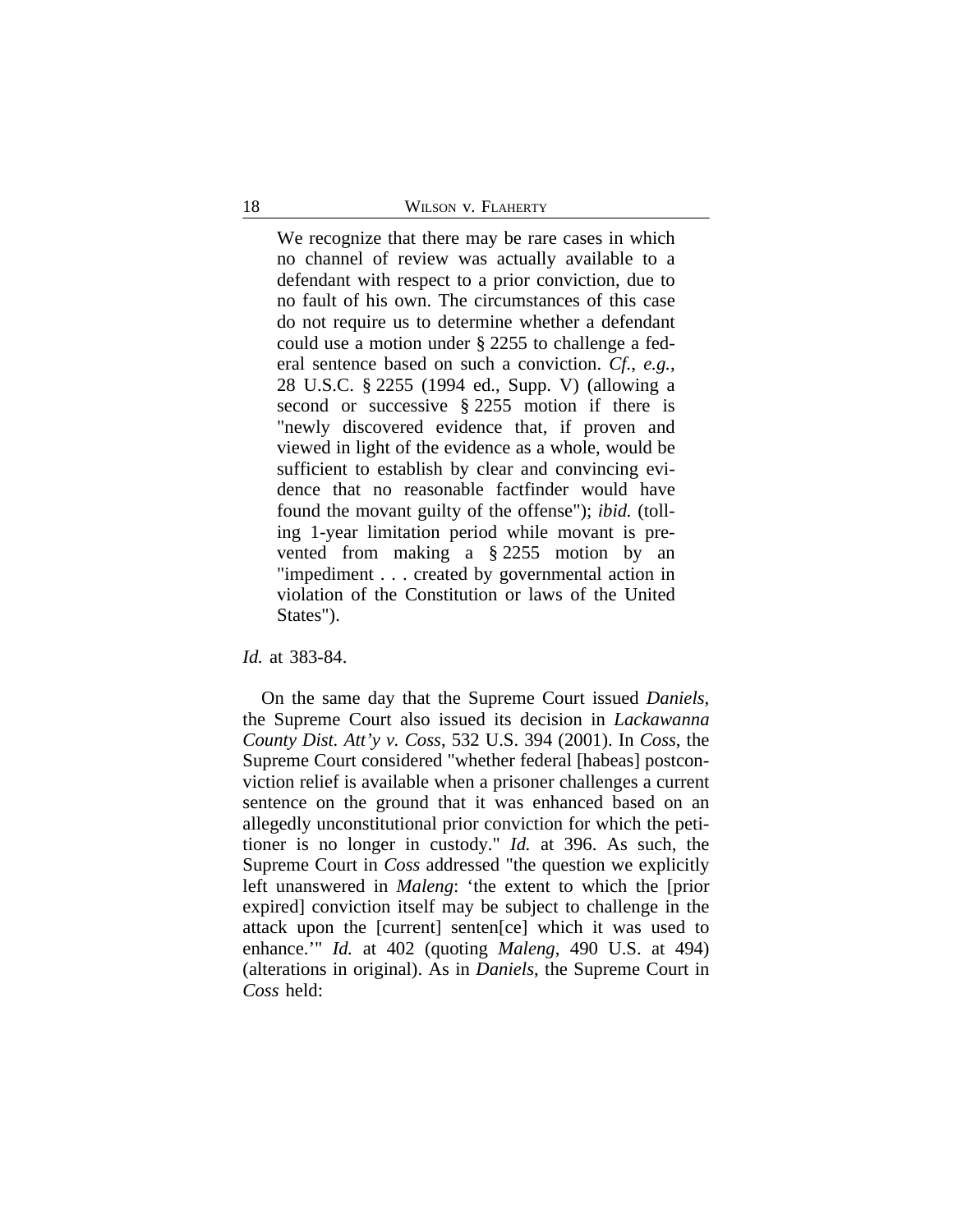We recognize that there may be rare cases in which no channel of review was actually available to a defendant with respect to a prior conviction, due to no fault of his own. The circumstances of this case do not require us to determine whether a defendant could use a motion under § 2255 to challenge a federal sentence based on such a conviction. *Cf.*, *e.g.*, 28 U.S.C. § 2255 (1994 ed., Supp. V) (allowing a second or successive § 2255 motion if there is "newly discovered evidence that, if proven and viewed in light of the evidence as a whole, would be sufficient to establish by clear and convincing evidence that no reasonable factfinder would have found the movant guilty of the offense"); *ibid.* (tolling 1-year limitation period while movant is prevented from making a § 2255 motion by an "impediment . . . created by governmental action in violation of the Constitution or laws of the United States").

*Id.* at 383-84.

On the same day that the Supreme Court issued *Daniels*, the Supreme Court also issued its decision in *Lackawanna County Dist. Att'y v. Coss*, 532 U.S. 394 (2001). In *Coss*, the Supreme Court considered "whether federal [habeas] postconviction relief is available when a prisoner challenges a current sentence on the ground that it was enhanced based on an allegedly unconstitutional prior conviction for which the petitioner is no longer in custody." *Id.* at 396. As such, the Supreme Court in *Coss* addressed "the question we explicitly left unanswered in *Maleng*: 'the extent to which the [prior expired] conviction itself may be subject to challenge in the attack upon the [current] senten[ce] which it was used to enhance.'" *Id.* at 402 (quoting *Maleng*, 490 U.S. at 494) (alterations in original). As in *Daniels*, the Supreme Court in *Coss* held: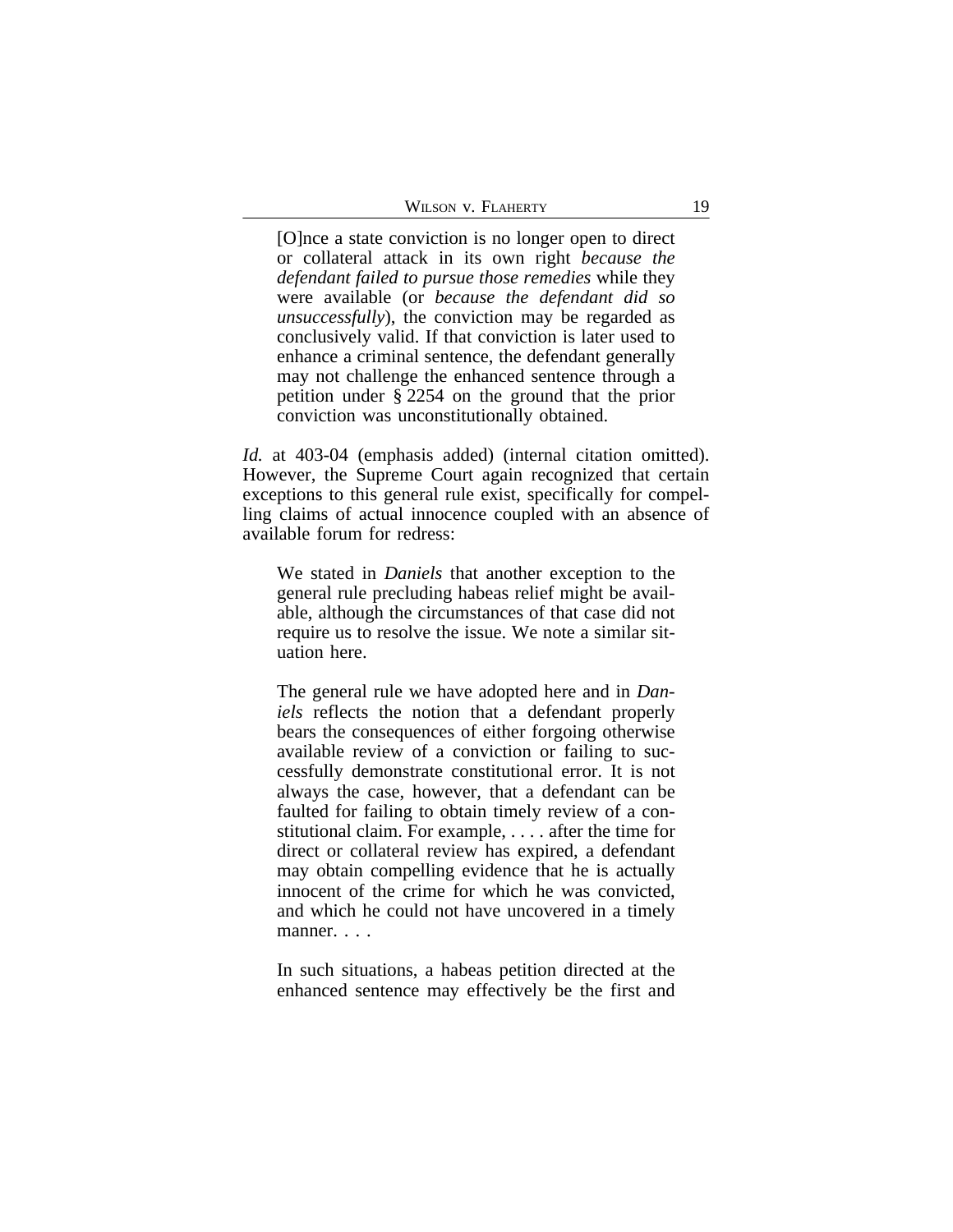| WILSON V. FLAHERTY |  |
|--------------------|--|
|--------------------|--|

[O]nce a state conviction is no longer open to direct or collateral attack in its own right *because the defendant failed to pursue those remedies* while they were available (or *because the defendant did so unsuccessfully*), the conviction may be regarded as conclusively valid. If that conviction is later used to enhance a criminal sentence, the defendant generally may not challenge the enhanced sentence through a petition under § 2254 on the ground that the prior conviction was unconstitutionally obtained.

*Id.* at 403-04 (emphasis added) (internal citation omitted). However, the Supreme Court again recognized that certain exceptions to this general rule exist, specifically for compelling claims of actual innocence coupled with an absence of available forum for redress:

We stated in *Daniels* that another exception to the general rule precluding habeas relief might be available, although the circumstances of that case did not require us to resolve the issue. We note a similar situation here.

The general rule we have adopted here and in *Daniels* reflects the notion that a defendant properly bears the consequences of either forgoing otherwise available review of a conviction or failing to successfully demonstrate constitutional error. It is not always the case, however, that a defendant can be faulted for failing to obtain timely review of a constitutional claim. For example, . . . . after the time for direct or collateral review has expired, a defendant may obtain compelling evidence that he is actually innocent of the crime for which he was convicted, and which he could not have uncovered in a timely manner. . . .

In such situations, a habeas petition directed at the enhanced sentence may effectively be the first and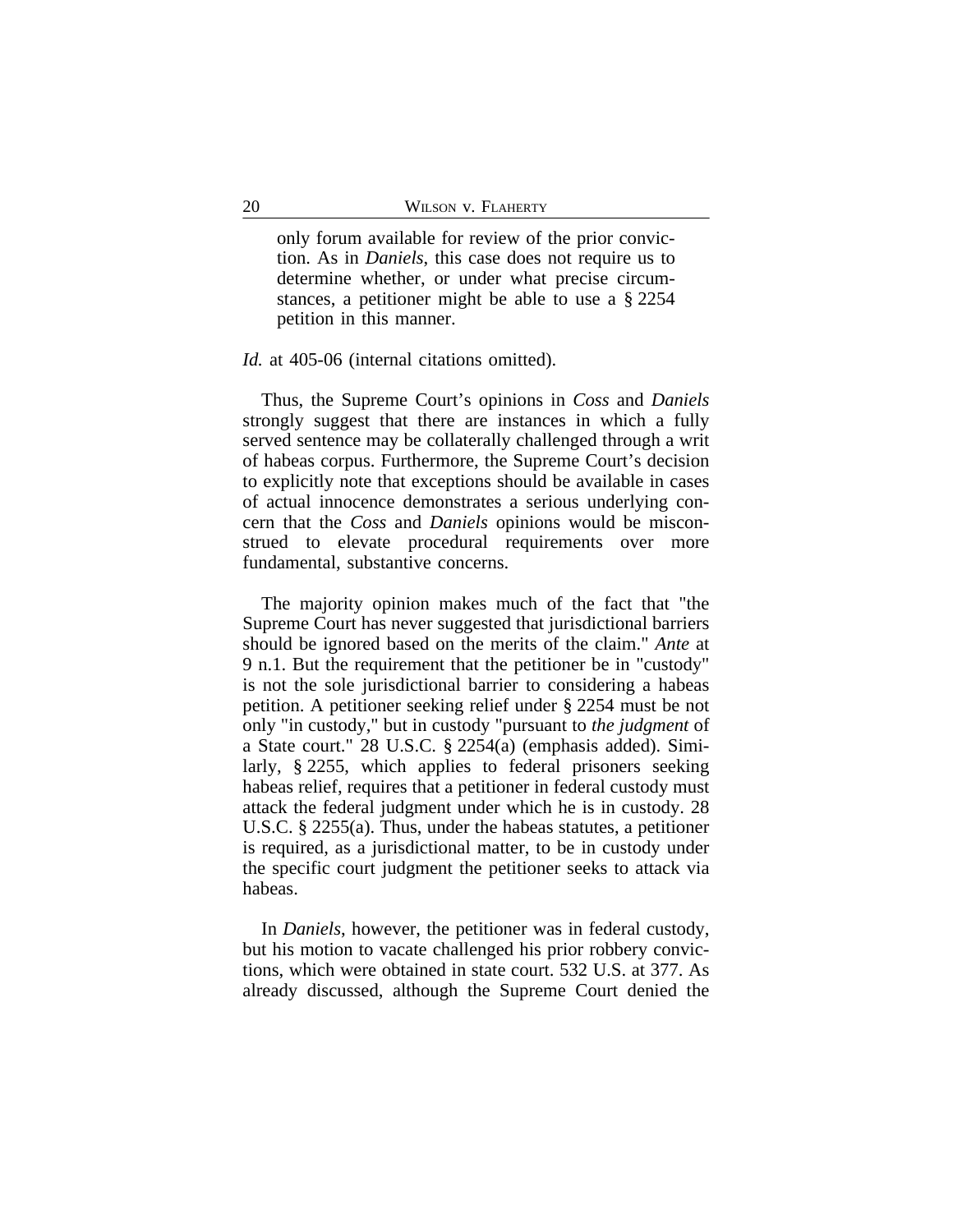only forum available for review of the prior conviction. As in *Daniels*, this case does not require us to determine whether, or under what precise circumstances, a petitioner might be able to use a § 2254 petition in this manner.

## *Id.* at 405-06 (internal citations omitted).

Thus, the Supreme Court's opinions in *Coss* and *Daniels* strongly suggest that there are instances in which a fully served sentence may be collaterally challenged through a writ of habeas corpus. Furthermore, the Supreme Court's decision to explicitly note that exceptions should be available in cases of actual innocence demonstrates a serious underlying concern that the *Coss* and *Daniels* opinions would be misconstrued to elevate procedural requirements over more fundamental, substantive concerns.

The majority opinion makes much of the fact that "the Supreme Court has never suggested that jurisdictional barriers should be ignored based on the merits of the claim." *Ante* at 9 n.1. But the requirement that the petitioner be in "custody" is not the sole jurisdictional barrier to considering a habeas petition. A petitioner seeking relief under § 2254 must be not only "in custody," but in custody "pursuant to *the judgment* of a State court." 28 U.S.C. § 2254(a) (emphasis added). Similarly, § 2255, which applies to federal prisoners seeking habeas relief, requires that a petitioner in federal custody must attack the federal judgment under which he is in custody. 28 U.S.C. § 2255(a). Thus, under the habeas statutes, a petitioner is required, as a jurisdictional matter, to be in custody under the specific court judgment the petitioner seeks to attack via habeas.

In *Daniels*, however, the petitioner was in federal custody, but his motion to vacate challenged his prior robbery convictions, which were obtained in state court. 532 U.S. at 377. As already discussed, although the Supreme Court denied the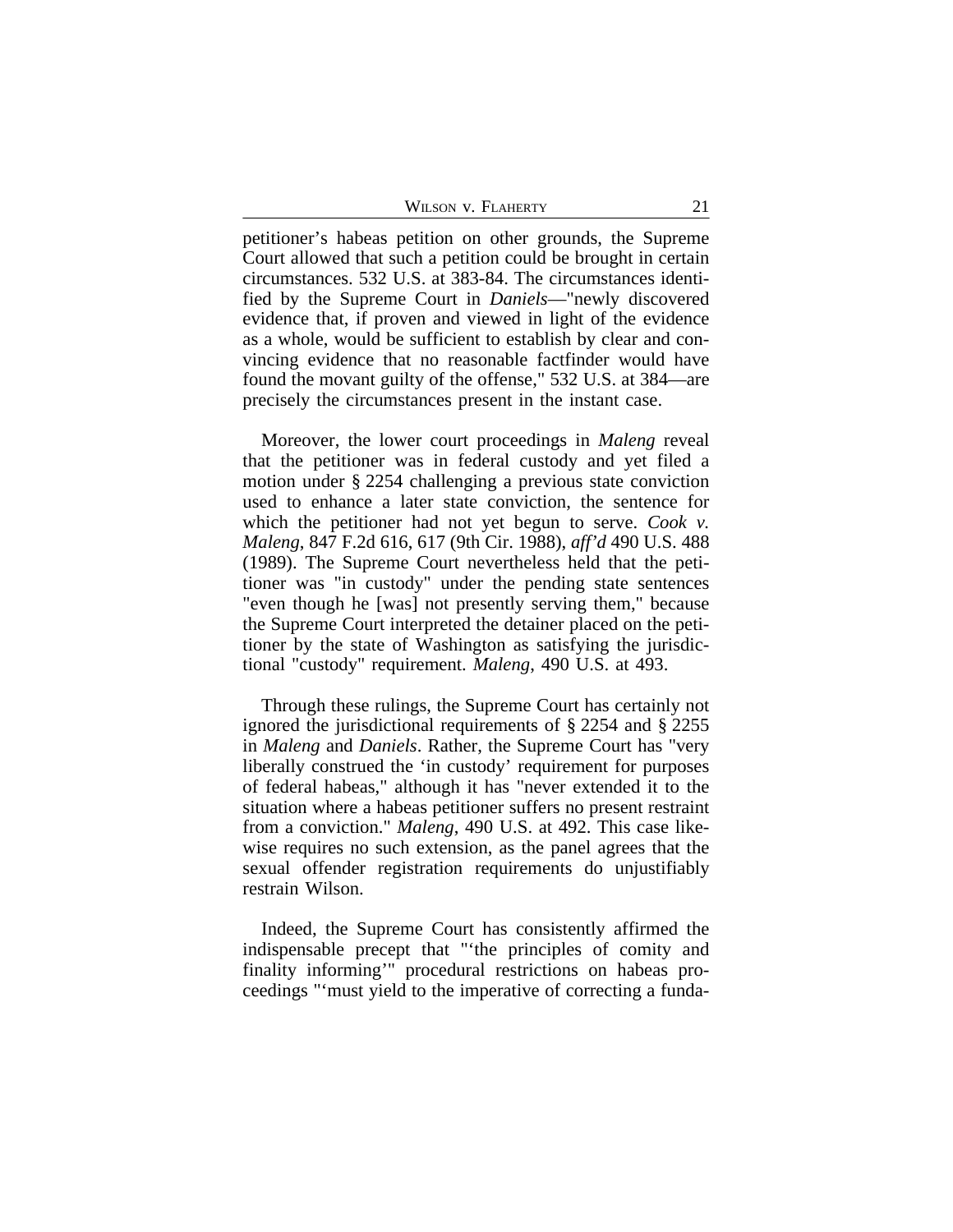petitioner's habeas petition on other grounds, the Supreme Court allowed that such a petition could be brought in certain circumstances. 532 U.S. at 383-84. The circumstances identified by the Supreme Court in *Daniels*—"newly discovered evidence that, if proven and viewed in light of the evidence as a whole, would be sufficient to establish by clear and convincing evidence that no reasonable factfinder would have found the movant guilty of the offense," 532 U.S. at 384—are precisely the circumstances present in the instant case.

Moreover, the lower court proceedings in *Maleng* reveal that the petitioner was in federal custody and yet filed a motion under § 2254 challenging a previous state conviction used to enhance a later state conviction, the sentence for which the petitioner had not yet begun to serve. *Cook v. Maleng*, 847 F.2d 616, 617 (9th Cir. 1988), *aff'd* 490 U.S. 488 (1989). The Supreme Court nevertheless held that the petitioner was "in custody" under the pending state sentences "even though he [was] not presently serving them," because the Supreme Court interpreted the detainer placed on the petitioner by the state of Washington as satisfying the jurisdictional "custody" requirement. *Maleng*, 490 U.S. at 493.

Through these rulings, the Supreme Court has certainly not ignored the jurisdictional requirements of § 2254 and § 2255 in *Maleng* and *Daniels*. Rather, the Supreme Court has "very liberally construed the 'in custody' requirement for purposes of federal habeas," although it has "never extended it to the situation where a habeas petitioner suffers no present restraint from a conviction." *Maleng*, 490 U.S. at 492. This case likewise requires no such extension, as the panel agrees that the sexual offender registration requirements do unjustifiably restrain Wilson.

Indeed, the Supreme Court has consistently affirmed the indispensable precept that "'the principles of comity and finality informing'" procedural restrictions on habeas proceedings "'must yield to the imperative of correcting a funda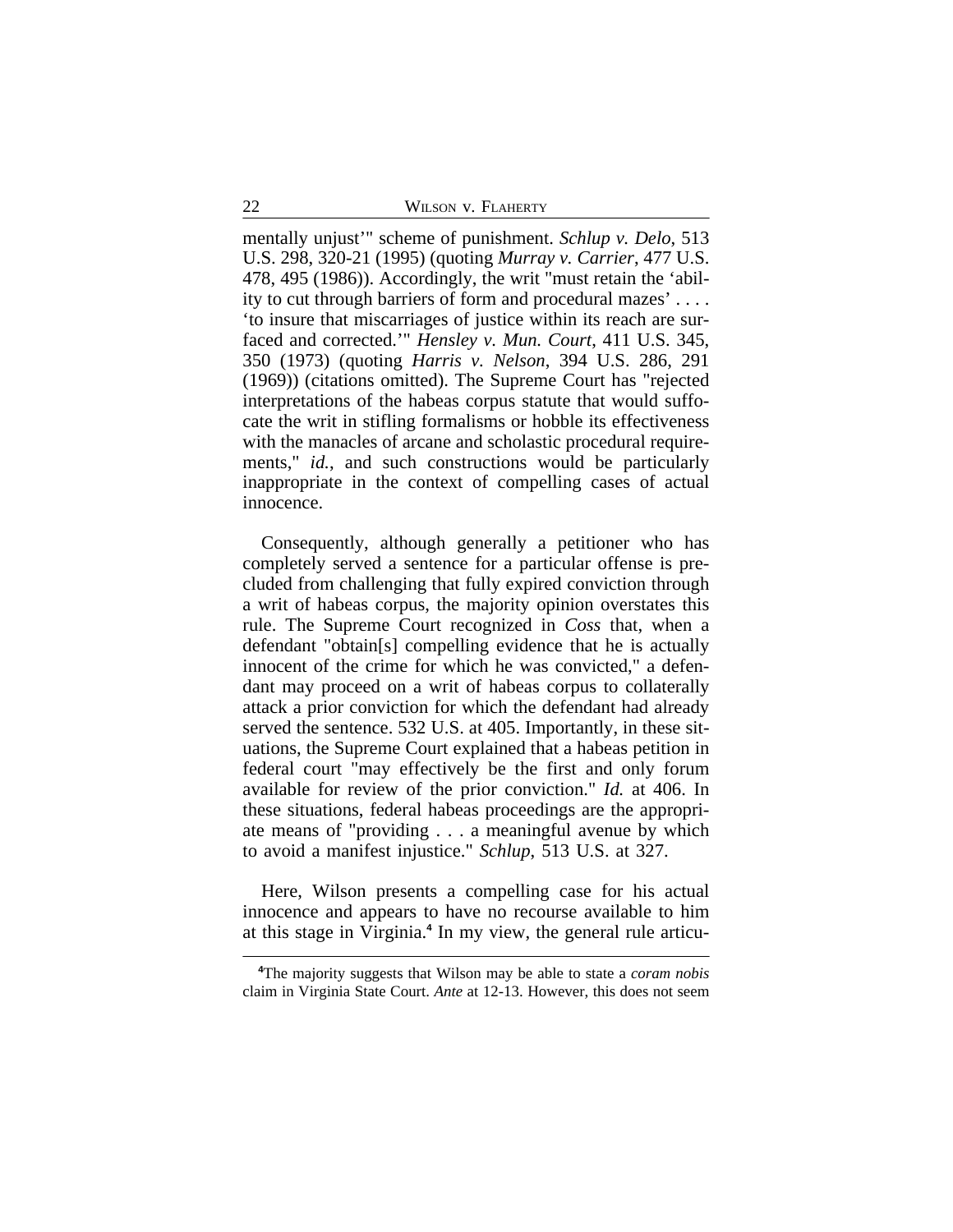mentally unjust'" scheme of punishment. *Schlup v. Delo*, 513 U.S. 298, 320-21 (1995) (quoting *Murray v. Carrier*, 477 U.S. 478, 495 (1986)). Accordingly, the writ "must retain the 'ability to cut through barriers of form and procedural mazes' . . . . 'to insure that miscarriages of justice within its reach are surfaced and corrected.'" *Hensley v. Mun. Court*, 411 U.S. 345, 350 (1973) (quoting *Harris v. Nelson*, 394 U.S. 286, 291 (1969)) (citations omitted). The Supreme Court has "rejected interpretations of the habeas corpus statute that would suffocate the writ in stifling formalisms or hobble its effectiveness with the manacles of arcane and scholastic procedural requirements," *id.*, and such constructions would be particularly inappropriate in the context of compelling cases of actual innocence.

Consequently, although generally a petitioner who has completely served a sentence for a particular offense is precluded from challenging that fully expired conviction through a writ of habeas corpus, the majority opinion overstates this rule. The Supreme Court recognized in *Coss* that, when a defendant "obtain[s] compelling evidence that he is actually innocent of the crime for which he was convicted," a defendant may proceed on a writ of habeas corpus to collaterally attack a prior conviction for which the defendant had already served the sentence. 532 U.S. at 405. Importantly, in these situations, the Supreme Court explained that a habeas petition in federal court "may effectively be the first and only forum available for review of the prior conviction." *Id.* at 406. In these situations, federal habeas proceedings are the appropriate means of "providing . . . a meaningful avenue by which to avoid a manifest injustice." *Schlup*, 513 U.S. at 327.

Here, Wilson presents a compelling case for his actual innocence and appears to have no recourse available to him at this stage in Virginia.**<sup>4</sup>** In my view, the general rule articu-

**<sup>4</sup>**The majority suggests that Wilson may be able to state a *coram nobis* claim in Virginia State Court. *Ante* at 12-13. However, this does not seem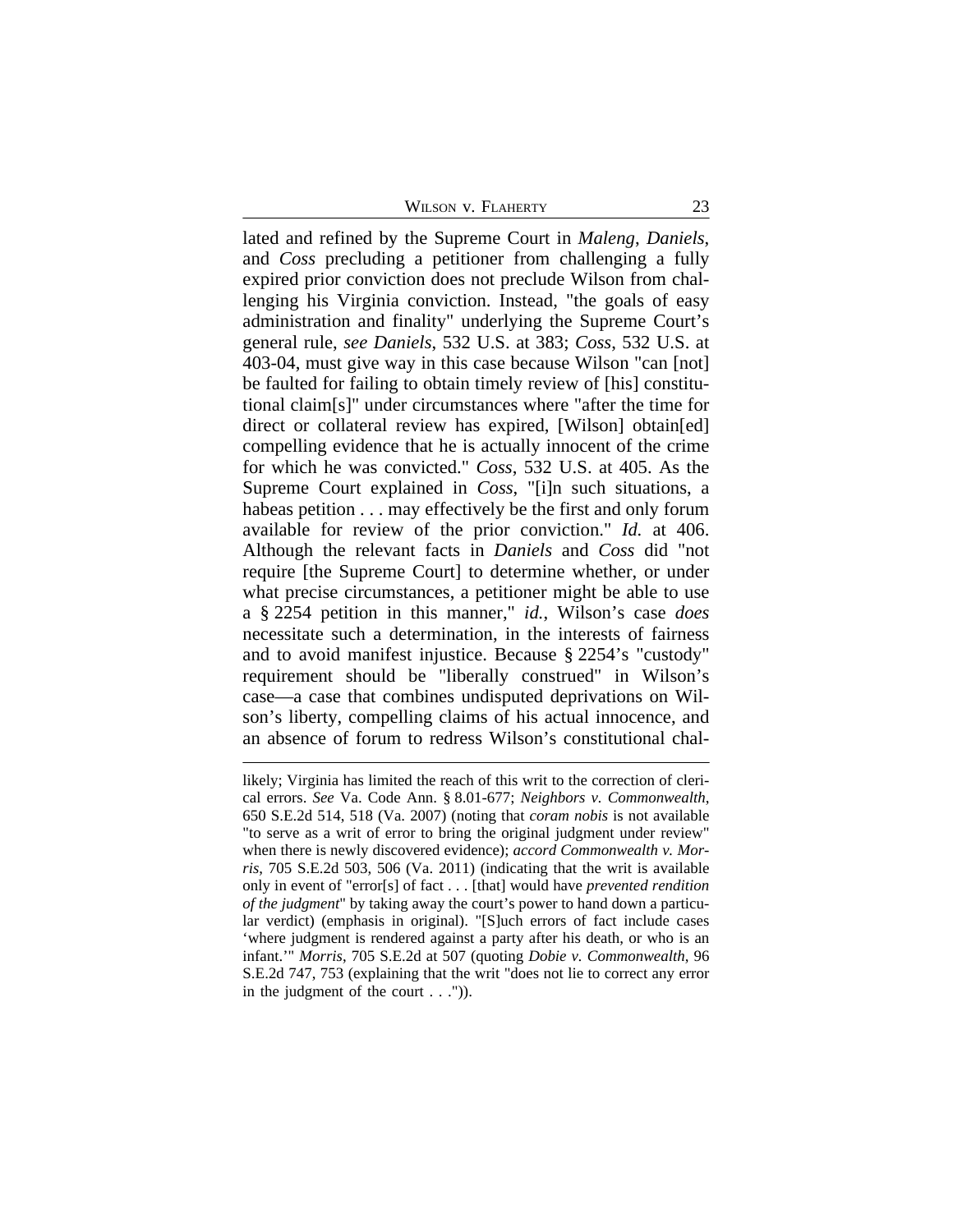WILSON V. FLAHERTY 23

lated and refined by the Supreme Court in *Maleng*, *Daniels*, and *Coss* precluding a petitioner from challenging a fully expired prior conviction does not preclude Wilson from challenging his Virginia conviction. Instead, "the goals of easy administration and finality" underlying the Supreme Court's general rule, *see Daniels*, 532 U.S. at 383; *Coss*, 532 U.S. at 403-04, must give way in this case because Wilson "can [not] be faulted for failing to obtain timely review of [his] constitutional claim[s]" under circumstances where "after the time for direct or collateral review has expired, [Wilson] obtain[ed] compelling evidence that he is actually innocent of the crime for which he was convicted." *Coss*, 532 U.S. at 405. As the Supreme Court explained in *Coss*, "[i]n such situations, a habeas petition . . . may effectively be the first and only forum available for review of the prior conviction." *Id.* at 406. Although the relevant facts in *Daniels* and *Coss* did "not require [the Supreme Court] to determine whether, or under what precise circumstances, a petitioner might be able to use a § 2254 petition in this manner," *id.*, Wilson's case *does* necessitate such a determination, in the interests of fairness and to avoid manifest injustice. Because § 2254's "custody" requirement should be "liberally construed" in Wilson's case—a case that combines undisputed deprivations on Wilson's liberty, compelling claims of his actual innocence, and an absence of forum to redress Wilson's constitutional chal-

likely; Virginia has limited the reach of this writ to the correction of clerical errors. *See* Va. Code Ann. § 8.01-677; *Neighbors v. Commonwealth*, 650 S.E.2d 514, 518 (Va. 2007) (noting that *coram nobis* is not available "to serve as a writ of error to bring the original judgment under review" when there is newly discovered evidence); *accord Commonwealth v. Morris*, 705 S.E.2d 503, 506 (Va. 2011) (indicating that the writ is available only in event of "error[s] of fact . . . [that] would have *prevented rendition of the judgment*" by taking away the court's power to hand down a particular verdict) (emphasis in original). "[S]uch errors of fact include cases 'where judgment is rendered against a party after his death, or who is an infant.'" *Morris*, 705 S.E.2d at 507 (quoting *Dobie v. Commonwealth*, 96 S.E.2d 747, 753 (explaining that the writ "does not lie to correct any error in the judgment of the court . . .")).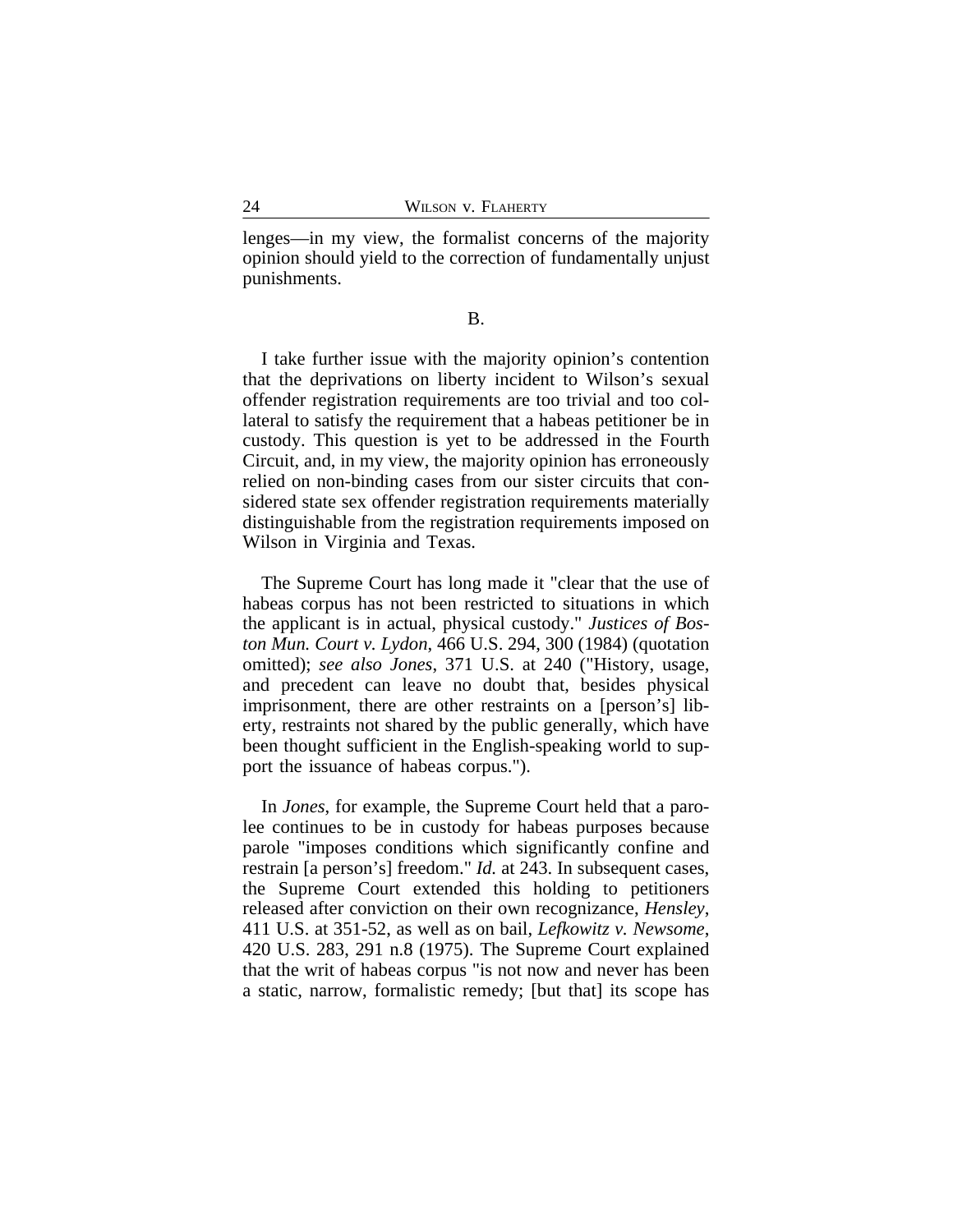lenges—in my view, the formalist concerns of the majority opinion should yield to the correction of fundamentally unjust punishments.

B.

I take further issue with the majority opinion's contention that the deprivations on liberty incident to Wilson's sexual offender registration requirements are too trivial and too collateral to satisfy the requirement that a habeas petitioner be in custody. This question is yet to be addressed in the Fourth Circuit, and, in my view, the majority opinion has erroneously relied on non-binding cases from our sister circuits that considered state sex offender registration requirements materially distinguishable from the registration requirements imposed on Wilson in Virginia and Texas.

The Supreme Court has long made it "clear that the use of habeas corpus has not been restricted to situations in which the applicant is in actual, physical custody." *Justices of Boston Mun. Court v. Lydon*, 466 U.S. 294, 300 (1984) (quotation omitted); *see also Jones*, 371 U.S. at 240 ("History, usage, and precedent can leave no doubt that, besides physical imprisonment, there are other restraints on a [person's] liberty, restraints not shared by the public generally, which have been thought sufficient in the English-speaking world to support the issuance of habeas corpus.").

In *Jones*, for example, the Supreme Court held that a parolee continues to be in custody for habeas purposes because parole "imposes conditions which significantly confine and restrain [a person's] freedom." *Id.* at 243. In subsequent cases, the Supreme Court extended this holding to petitioners released after conviction on their own recognizance, *Hensley*, 411 U.S. at 351-52, as well as on bail, *Lefkowitz v. Newsome*, 420 U.S. 283, 291 n.8 (1975). The Supreme Court explained that the writ of habeas corpus "is not now and never has been a static, narrow, formalistic remedy; [but that] its scope has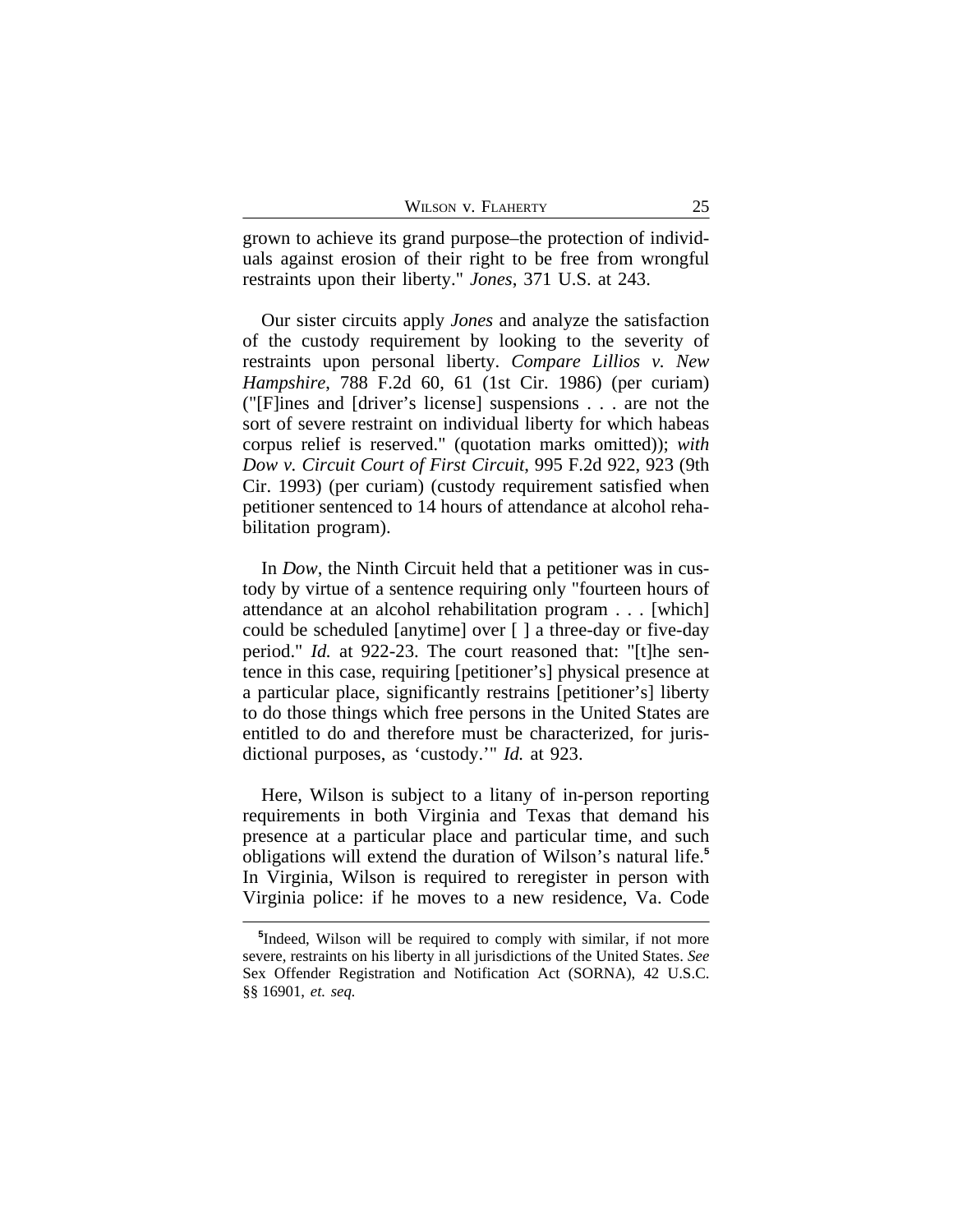| WILSON V. FLAHERTY |  |  |  |
|--------------------|--|--|--|
|--------------------|--|--|--|

grown to achieve its grand purpose–the protection of individuals against erosion of their right to be free from wrongful restraints upon their liberty." *Jones*, 371 U.S. at 243.

Our sister circuits apply *Jones* and analyze the satisfaction of the custody requirement by looking to the severity of restraints upon personal liberty. *Compare Lillios v. New Hampshire*, 788 F.2d 60, 61 (1st Cir. 1986) (per curiam) ("[F]ines and [driver's license] suspensions . . . are not the sort of severe restraint on individual liberty for which habeas corpus relief is reserved." (quotation marks omitted)); *with Dow v. Circuit Court of First Circuit*, 995 F.2d 922, 923 (9th Cir. 1993) (per curiam) (custody requirement satisfied when petitioner sentenced to 14 hours of attendance at alcohol rehabilitation program).

In *Dow*, the Ninth Circuit held that a petitioner was in custody by virtue of a sentence requiring only "fourteen hours of attendance at an alcohol rehabilitation program . . . [which] could be scheduled [anytime] over [ ] a three-day or five-day period." *Id.* at 922-23. The court reasoned that: "[t]he sentence in this case, requiring [petitioner's] physical presence at a particular place, significantly restrains [petitioner's] liberty to do those things which free persons in the United States are entitled to do and therefore must be characterized, for jurisdictional purposes, as 'custody.'" *Id.* at 923.

Here, Wilson is subject to a litany of in-person reporting requirements in both Virginia and Texas that demand his presence at a particular place and particular time, and such obligations will extend the duration of Wilson's natural life.**<sup>5</sup>** In Virginia, Wilson is required to reregister in person with Virginia police: if he moves to a new residence, Va. Code

**<sup>5</sup>** Indeed, Wilson will be required to comply with similar, if not more severe, restraints on his liberty in all jurisdictions of the United States. *See* Sex Offender Registration and Notification Act (SORNA), 42 U.S.C. §§ 16901, *et. seq.*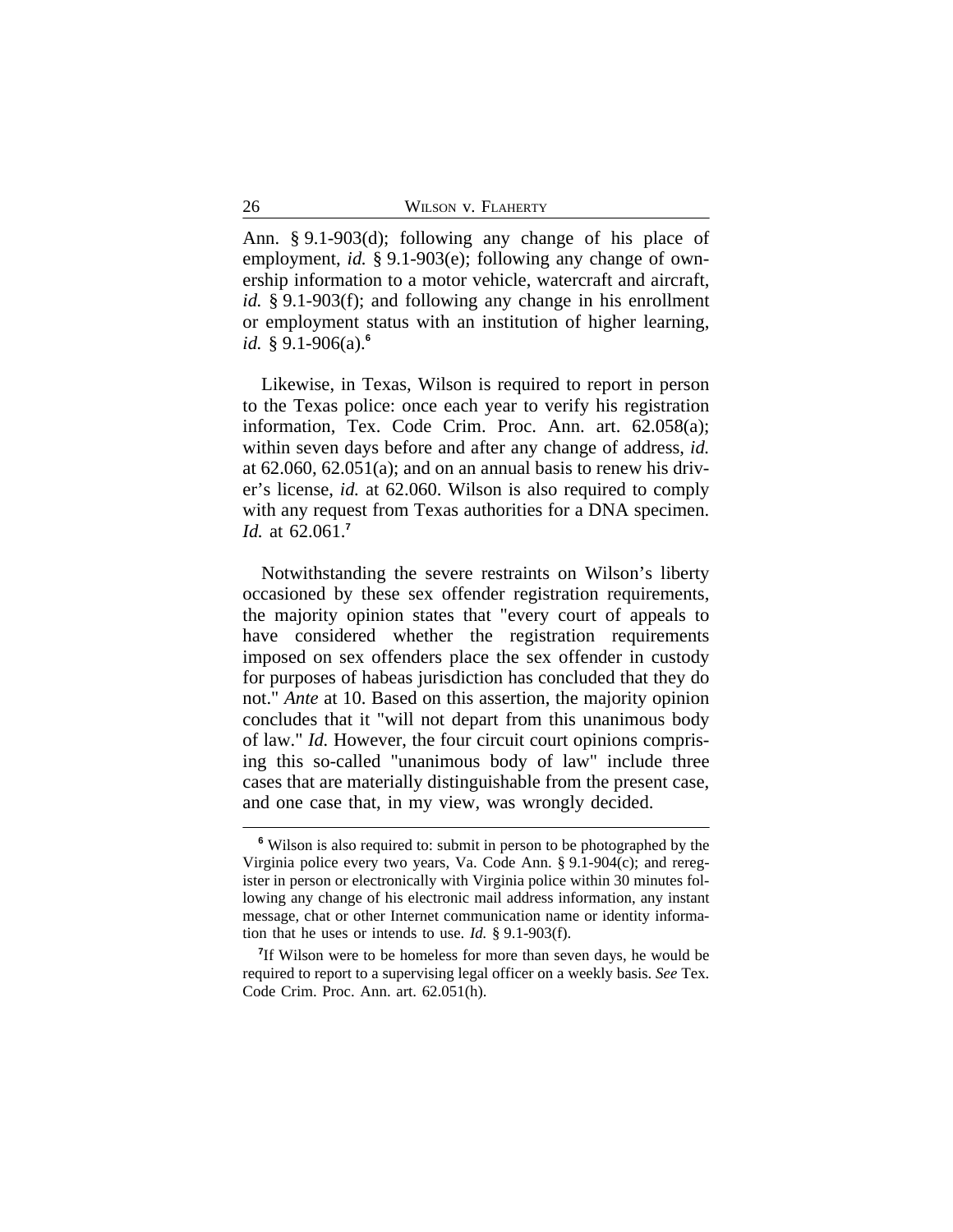Ann. § 9.1-903(d); following any change of his place of employment, *id.* § 9.1-903(e); following any change of ownership information to a motor vehicle, watercraft and aircraft, *id.* § 9.1-903(f); and following any change in his enrollment or employment status with an institution of higher learning, *id.* § 9.1-906(a).**<sup>6</sup>**

Likewise, in Texas, Wilson is required to report in person to the Texas police: once each year to verify his registration information, Tex. Code Crim. Proc. Ann. art. 62.058(a); within seven days before and after any change of address, *id.* at 62.060, 62.051(a); and on an annual basis to renew his driver's license, *id.* at 62.060. Wilson is also required to comply with any request from Texas authorities for a DNA specimen. *Id.* at 62.061.**<sup>7</sup>**

Notwithstanding the severe restraints on Wilson's liberty occasioned by these sex offender registration requirements, the majority opinion states that "every court of appeals to have considered whether the registration requirements imposed on sex offenders place the sex offender in custody for purposes of habeas jurisdiction has concluded that they do not." *Ante* at 10. Based on this assertion, the majority opinion concludes that it "will not depart from this unanimous body of law." *Id.* However, the four circuit court opinions comprising this so-called "unanimous body of law" include three cases that are materially distinguishable from the present case, and one case that, in my view, was wrongly decided.

**<sup>6</sup>** Wilson is also required to: submit in person to be photographed by the Virginia police every two years, Va. Code Ann. § 9.1-904(c); and reregister in person or electronically with Virginia police within 30 minutes following any change of his electronic mail address information, any instant message, chat or other Internet communication name or identity information that he uses or intends to use. *Id.* § 9.1-903(f).

<sup>&</sup>lt;sup>7</sup>If Wilson were to be homeless for more than seven days, he would be required to report to a supervising legal officer on a weekly basis. *See* Tex. Code Crim. Proc. Ann. art. 62.051(h).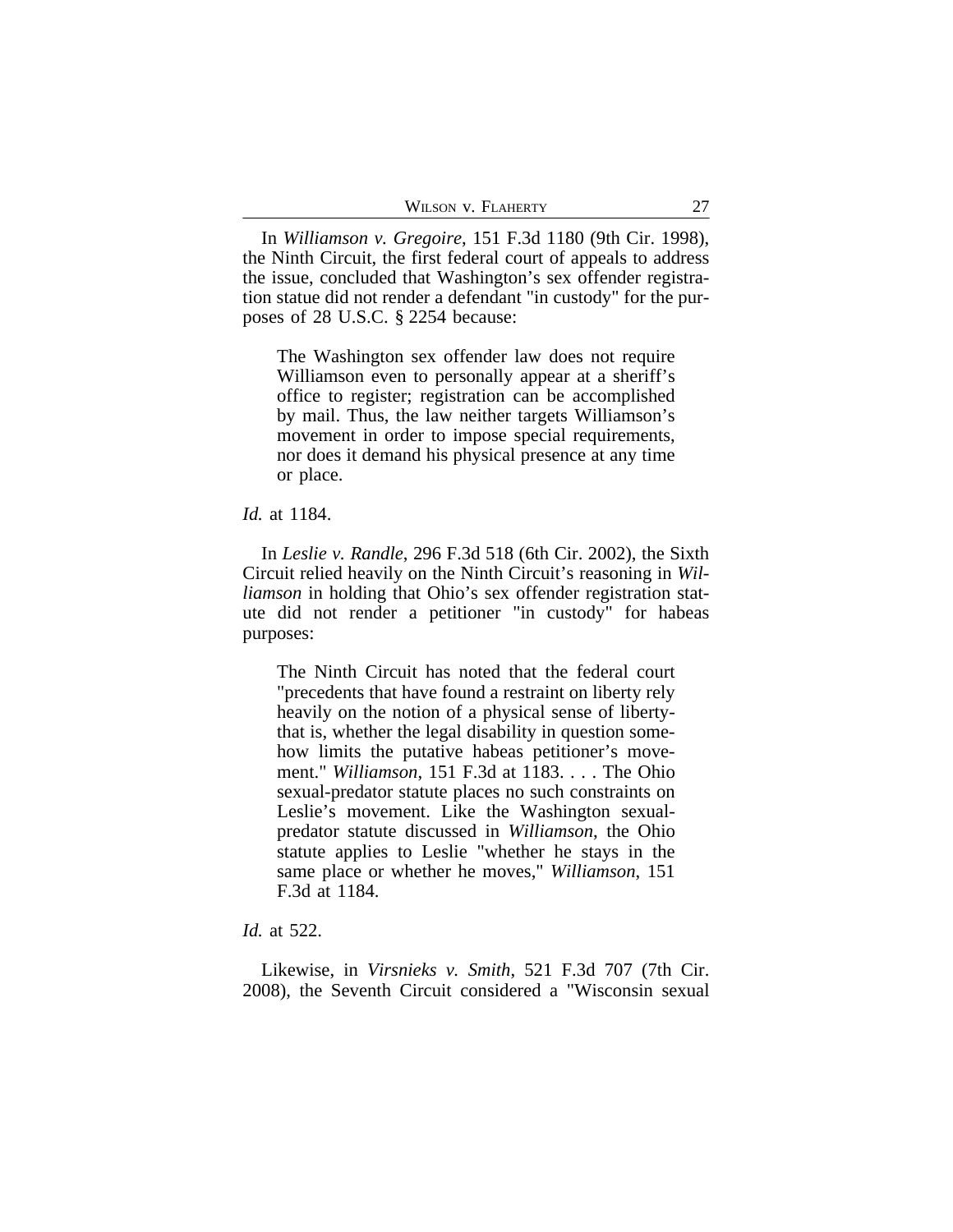In *Williamson v. Gregoire*, 151 F.3d 1180 (9th Cir. 1998), the Ninth Circuit, the first federal court of appeals to address the issue, concluded that Washington's sex offender registration statue did not render a defendant "in custody" for the purposes of 28 U.S.C. § 2254 because:

The Washington sex offender law does not require Williamson even to personally appear at a sheriff's office to register; registration can be accomplished by mail. Thus, the law neither targets Williamson's movement in order to impose special requirements, nor does it demand his physical presence at any time or place.

*Id.* at 1184.

In *Leslie v. Randle*, 296 F.3d 518 (6th Cir. 2002), the Sixth Circuit relied heavily on the Ninth Circuit's reasoning in *Williamson* in holding that Ohio's sex offender registration statute did not render a petitioner "in custody" for habeas purposes:

The Ninth Circuit has noted that the federal court "precedents that have found a restraint on liberty rely heavily on the notion of a physical sense of libertythat is, whether the legal disability in question somehow limits the putative habeas petitioner's movement." *Williamson*, 151 F.3d at 1183. . . . The Ohio sexual-predator statute places no such constraints on Leslie's movement. Like the Washington sexualpredator statute discussed in *Williamson*, the Ohio statute applies to Leslie "whether he stays in the same place or whether he moves," *Williamson*, 151 F.3d at 1184.

## *Id.* at 522.

Likewise, in *Virsnieks v. Smith*, 521 F.3d 707 (7th Cir. 2008), the Seventh Circuit considered a "Wisconsin sexual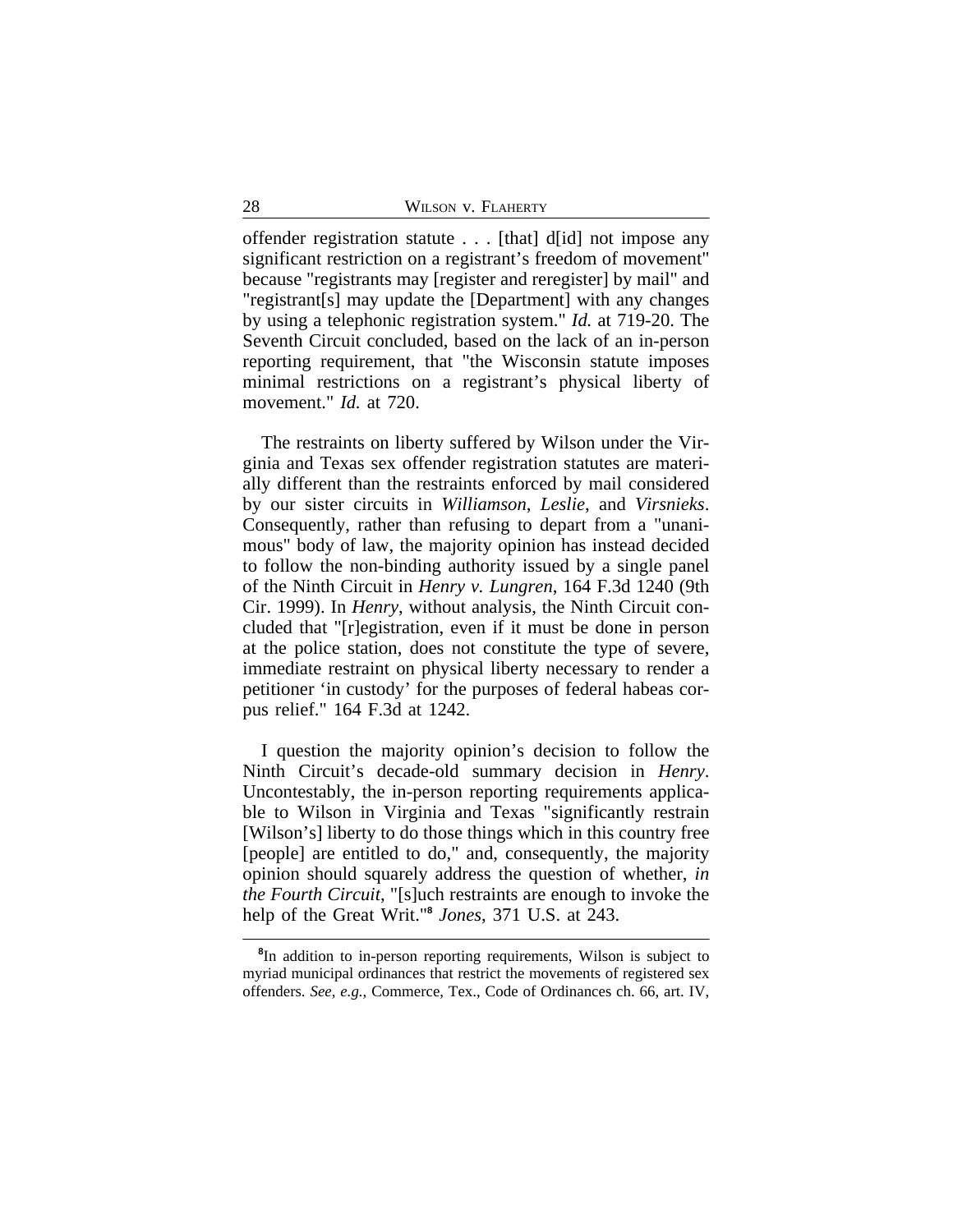offender registration statute . . . [that] d[id] not impose any significant restriction on a registrant's freedom of movement" because "registrants may [register and reregister] by mail" and "registrant[s] may update the [Department] with any changes by using a telephonic registration system." *Id.* at 719-20. The Seventh Circuit concluded, based on the lack of an in-person reporting requirement, that "the Wisconsin statute imposes minimal restrictions on a registrant's physical liberty of movement." *Id.* at 720.

The restraints on liberty suffered by Wilson under the Virginia and Texas sex offender registration statutes are materially different than the restraints enforced by mail considered by our sister circuits in *Williamson*, *Leslie*, and *Virsnieks*. Consequently, rather than refusing to depart from a "unanimous" body of law, the majority opinion has instead decided to follow the non-binding authority issued by a single panel of the Ninth Circuit in *Henry v. Lungren*, 164 F.3d 1240 (9th Cir. 1999). In *Henry*, without analysis, the Ninth Circuit concluded that "[r]egistration, even if it must be done in person at the police station, does not constitute the type of severe, immediate restraint on physical liberty necessary to render a petitioner 'in custody' for the purposes of federal habeas corpus relief." 164 F.3d at 1242.

I question the majority opinion's decision to follow the Ninth Circuit's decade-old summary decision in *Henry*. Uncontestably, the in-person reporting requirements applicable to Wilson in Virginia and Texas "significantly restrain [Wilson's] liberty to do those things which in this country free [people] are entitled to do," and, consequently, the majority opinion should squarely address the question of whether, *in the Fourth Circuit*, "[s]uch restraints are enough to invoke the help of the Great Writ."**<sup>8</sup>** *Jones*, 371 U.S. at 243.

**<sup>8</sup>** In addition to in-person reporting requirements, Wilson is subject to myriad municipal ordinances that restrict the movements of registered sex offenders. *See, e.g.*, Commerce, Tex., Code of Ordinances ch. 66, art. IV,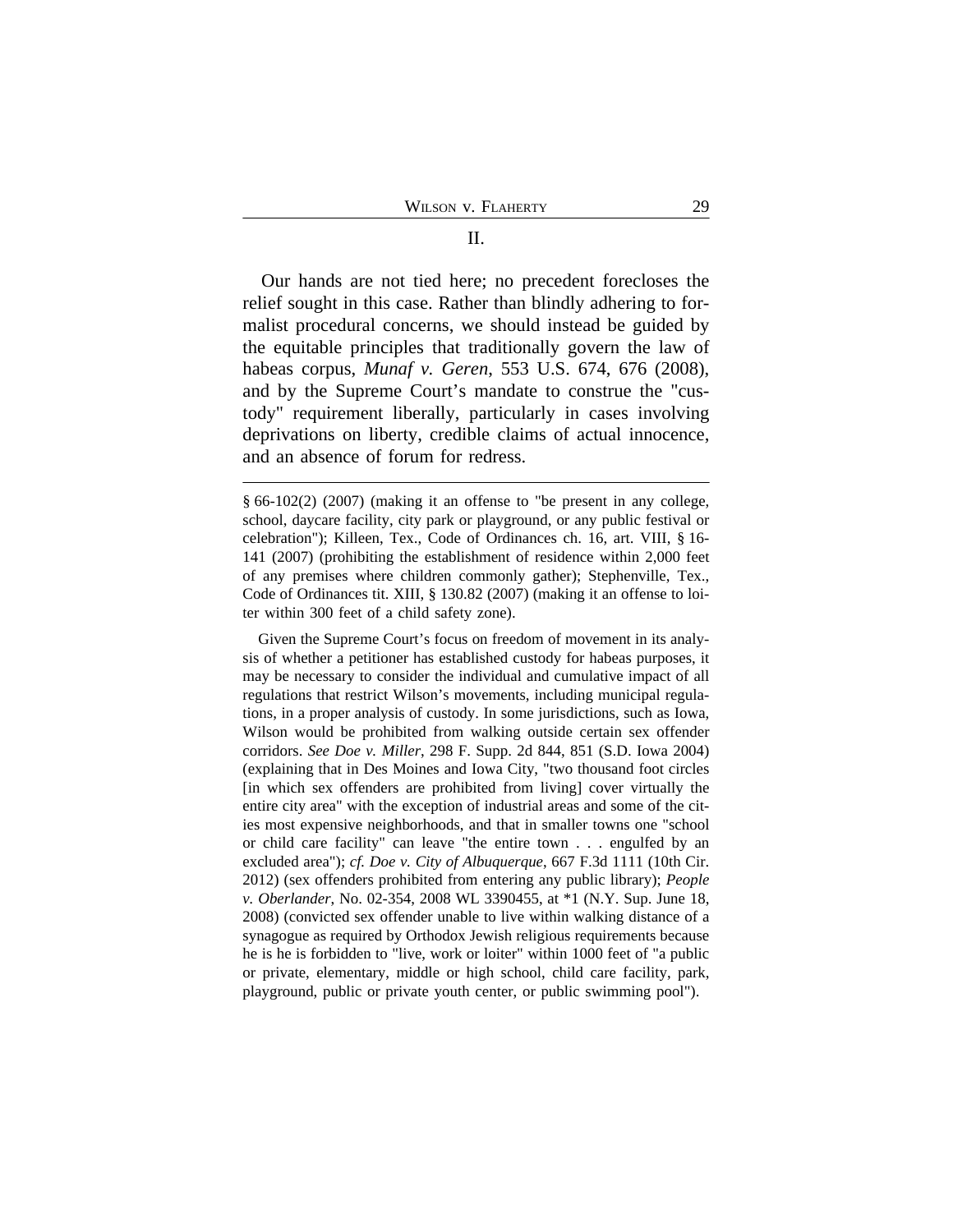Our hands are not tied here; no precedent forecloses the relief sought in this case. Rather than blindly adhering to formalist procedural concerns, we should instead be guided by the equitable principles that traditionally govern the law of habeas corpus, *Munaf v. Geren*, 553 U.S. 674, 676 (2008), and by the Supreme Court's mandate to construe the "custody" requirement liberally, particularly in cases involving deprivations on liberty, credible claims of actual innocence, and an absence of forum for redress.

Given the Supreme Court's focus on freedom of movement in its analysis of whether a petitioner has established custody for habeas purposes, it may be necessary to consider the individual and cumulative impact of all regulations that restrict Wilson's movements, including municipal regulations, in a proper analysis of custody. In some jurisdictions, such as Iowa, Wilson would be prohibited from walking outside certain sex offender corridors. *See Doe v. Miller*, 298 F. Supp. 2d 844, 851 (S.D. Iowa 2004) (explaining that in Des Moines and Iowa City, "two thousand foot circles [in which sex offenders are prohibited from living] cover virtually the entire city area" with the exception of industrial areas and some of the cities most expensive neighborhoods, and that in smaller towns one "school or child care facility" can leave "the entire town . . . engulfed by an excluded area"); *cf. Doe v. City of Albuquerque*, 667 F.3d 1111 (10th Cir. 2012) (sex offenders prohibited from entering any public library); *People v. Oberlander*, No. 02-354, 2008 WL 3390455, at \*1 (N.Y. Sup. June 18, 2008) (convicted sex offender unable to live within walking distance of a synagogue as required by Orthodox Jewish religious requirements because he is he is forbidden to "live, work or loiter" within 1000 feet of "a public or private, elementary, middle or high school, child care facility, park, playground, public or private youth center, or public swimming pool").

<sup>§</sup> 66-102(2) (2007) (making it an offense to "be present in any college, school, daycare facility, city park or playground, or any public festival or celebration"); Killeen, Tex., Code of Ordinances ch. 16, art. VIII, § 16- 141 (2007) (prohibiting the establishment of residence within 2,000 feet of any premises where children commonly gather); Stephenville, Tex., Code of Ordinances tit. XIII, § 130.82 (2007) (making it an offense to loiter within 300 feet of a child safety zone).